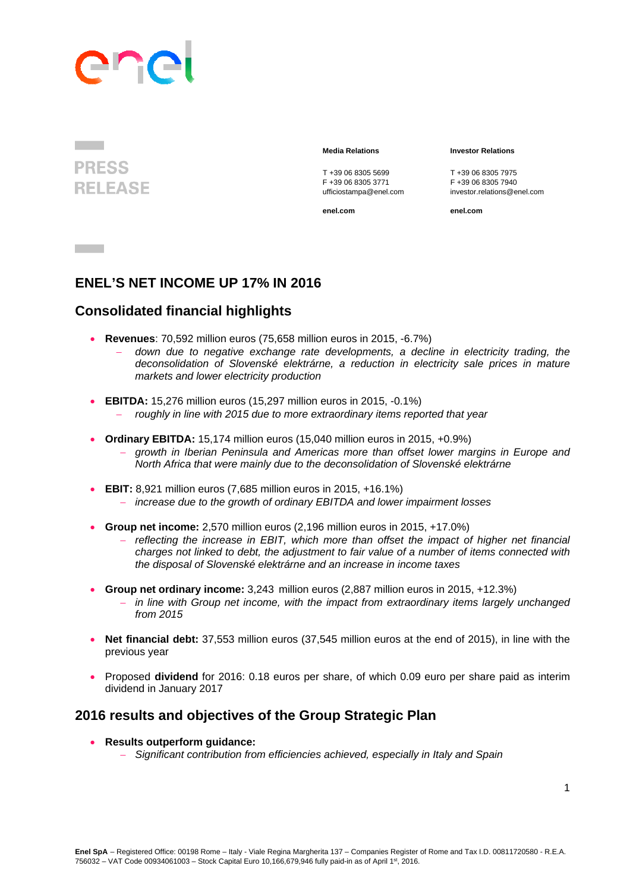

**PRESS RELEASE** 

T +39 06 8305 5699<br>
F +39 06 8305 3771<br>
F +39 06 8305 3771<br>
F +39 06 8305 7940

 **Media Relations Investor Relations** 

F +39 06 8305 3771 F +39 06 8305 7940 ufficiostampa@enel.com investor.relations@enel.com

**enel.com enel.com**

## **ENEL'S NET INCOME UP 17% IN 2016**

## **Consolidated financial highlights**

- **Revenues**: 70,592 million euros (75,658 million euros in 2015, -6.7%)
	- *down due to negative exchange rate developments, a decline in electricity trading, the deconsolidation of Slovenské elektrárne, a reduction in electricity sale prices in mature markets and lower electricity production*
- **EBITDA:** 15,276 million euros (15,297 million euros in 2015, -0.1%)
	- *roughly in line with 2015 due to more extraordinary items reported that year*
- **Ordinary EBITDA:** 15,174 million euros (15,040 million euros in 2015, +0.9%)
	- *growth in Iberian Peninsula and Americas more than offset lower margins in Europe and North Africa that were mainly due to the deconsolidation of Slovenské elektrárne*
- **EBIT:** 8,921 million euros (7,685 million euros in 2015, +16.1%)
	- *increase due to the growth of ordinary EBITDA and lower impairment losses*
- **Group net income:** 2,570 million euros (2,196 million euros in 2015, +17.0%)
	- reflecting the increase in EBIT, which more than offset the impact of higher net financial *charges not linked to debt, the adjustment to fair value of a number of items connected with the disposal of Slovenské elektrárne and an increase in income taxes*
- **Group net ordinary income:** 3,243 million euros (2,887 million euros in 2015, +12.3%)
	- *in line with Group net income, with the impact from extraordinary items largely unchanged from 2015*
- **Net financial debt:** 37,553 million euros (37,545 million euros at the end of 2015), in line with the previous year
- Proposed **dividend** for 2016: 0.18 euros per share, of which 0.09 euro per share paid as interim dividend in January 2017

## **2016 results and objectives of the Group Strategic Plan**

- **Results outperform guidance:** 
	- *Significant contribution from efficiencies achieved, especially in Italy and Spain*

**Contract Contract**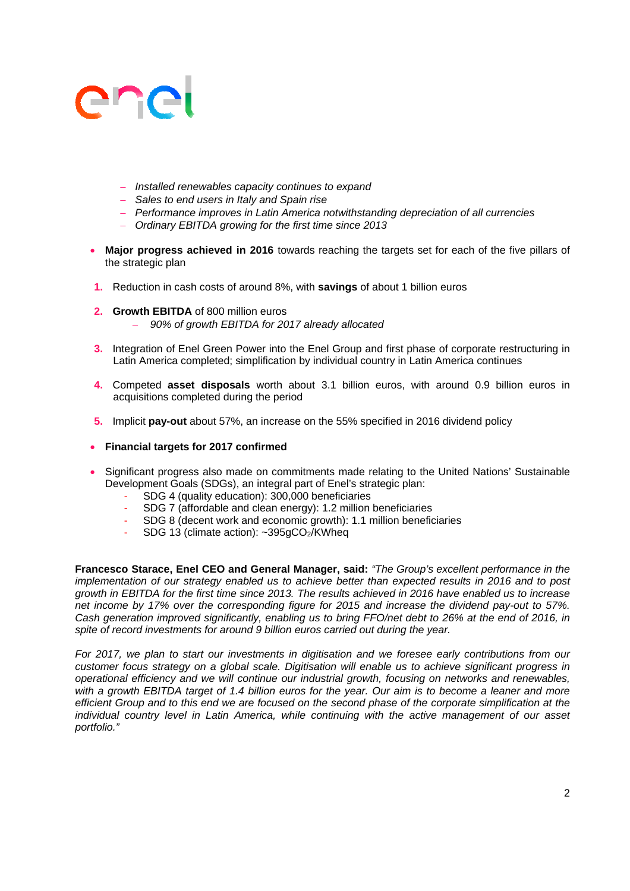- *Installed renewables capacity continues to expand*
- *Sales to end users in Italy and Spain rise*
- *Performance improves in Latin America notwithstanding depreciation of all currencies*
- *Ordinary EBITDA growing for the first time since 2013*
- **Major progress achieved in 2016** towards reaching the targets set for each of the five pillars of the strategic plan
- **1.** Reduction in cash costs of around 8%, with **savings** of about 1 billion euros
- **2. Growth EBITDA** of 800 million euros
	- *90% of growth EBITDA for 2017 already allocated*
- **3.** Integration of Enel Green Power into the Enel Group and first phase of corporate restructuring in Latin America completed; simplification by individual country in Latin America continues
- **4.** Competed **asset disposals** worth about 3.1 billion euros, with around 0.9 billion euros in acquisitions completed during the period
- **5.** Implicit **pay-out** about 57%, an increase on the 55% specified in 2016 dividend policy
- **Financial targets for 2017 confirmed**
- Significant progress also made on commitments made relating to the United Nations' Sustainable Development Goals (SDGs), an integral part of Enel's strategic plan:
	- SDG 4 (quality education): 300,000 beneficiaries
	- SDG 7 (affordable and clean energy): 1.2 million beneficiaries
	- SDG 8 (decent work and economic growth): 1.1 million beneficiaries
	- SDG 13 (climate action): ~395gCO2/KWheq

**Francesco Starace, Enel CEO and General Manager, said:** *"The Group's excellent performance in the implementation of our strategy enabled us to achieve better than expected results in 2016 and to post growth in EBITDA for the first time since 2013. The results achieved in 2016 have enabled us to increase net income by 17% over the corresponding figure for 2015 and increase the dividend pay-out to 57%. Cash generation improved significantly, enabling us to bring FFO/net debt to 26% at the end of 2016, in spite of record investments for around 9 billion euros carried out during the year.* 

*For 2017, we plan to start our investments in digitisation and we foresee early contributions from our customer focus strategy on a global scale. Digitisation will enable us to achieve significant progress in operational efficiency and we will continue our industrial growth, focusing on networks and renewables, with a growth EBITDA target of 1.4 billion euros for the year. Our aim is to become a leaner and more efficient Group and to this end we are focused on the second phase of the corporate simplification at the individual country level in Latin America, while continuing with the active management of our asset portfolio."*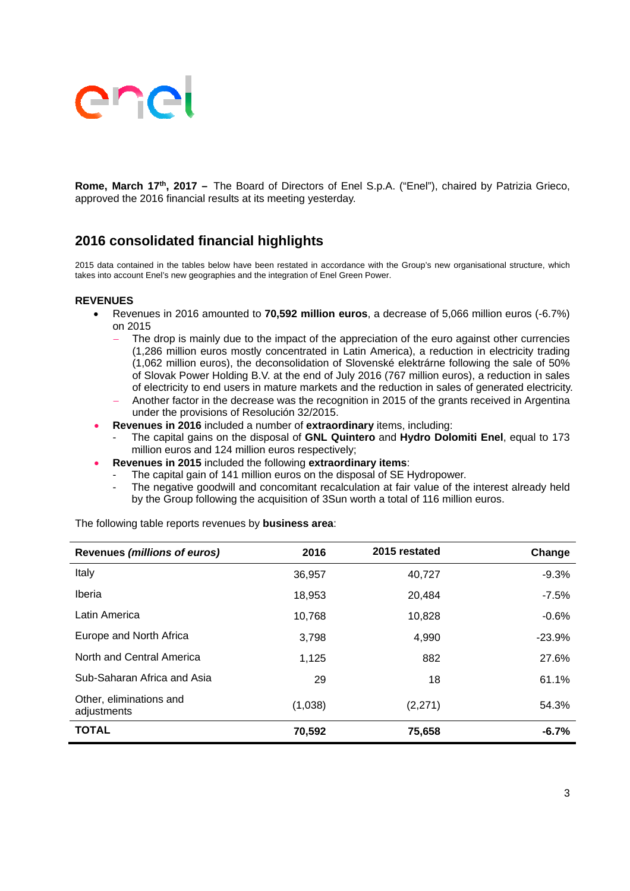

**Rome, March 17th, 2017 –** The Board of Directors of Enel S.p.A. ("Enel"), chaired by Patrizia Grieco, approved the 2016 financial results at its meeting yesterday.

## **2016 consolidated financial highlights**

2015 data contained in the tables below have been restated in accordance with the Group's new organisational structure, which takes into account Enel's new geographies and the integration of Enel Green Power.

#### **REVENUES**

- Revenues in 2016 amounted to **70,592 million euros**, a decrease of 5,066 million euros (-6.7%) on 2015
	- The drop is mainly due to the impact of the appreciation of the euro against other currencies (1,286 million euros mostly concentrated in Latin America), a reduction in electricity trading (1,062 million euros), the deconsolidation of Slovenské elektrárne following the sale of 50% of Slovak Power Holding B.V. at the end of July 2016 (767 million euros), a reduction in sales of electricity to end users in mature markets and the reduction in sales of generated electricity.
	- Another factor in the decrease was the recognition in 2015 of the grants received in Argentina under the provisions of Resolución 32/2015.
- **Revenues in 2016** included a number of **extraordinary** items, including:
	- The capital gains on the disposal of **GNL Quintero** and **Hydro Dolomiti Enel**, equal to 173 million euros and 124 million euros respectively;
- **Revenues in 2015** included the following **extraordinary items**:
	- The capital gain of 141 million euros on the disposal of SE Hydropower.
		- The negative goodwill and concomitant recalculation at fair value of the interest already held by the Group following the acquisition of 3Sun worth a total of 116 million euros.

| Revenues (millions of euros)           | 2016    | 2015 restated | Change   |
|----------------------------------------|---------|---------------|----------|
| Italy                                  | 36,957  | 40,727        | $-9.3%$  |
| <b>Iberia</b>                          | 18,953  | 20,484        | $-7.5%$  |
| Latin America                          | 10,768  | 10,828        | $-0.6%$  |
| Europe and North Africa                | 3,798   | 4,990         | $-23.9%$ |
| North and Central America              | 1,125   | 882           | 27.6%    |
| Sub-Saharan Africa and Asia            | 29      | 18            | 61.1%    |
| Other, eliminations and<br>adjustments | (1,038) | (2,271)       | 54.3%    |
| <b>TOTAL</b>                           | 70,592  | 75,658        | $-6.7%$  |

The following table reports revenues by **business area**: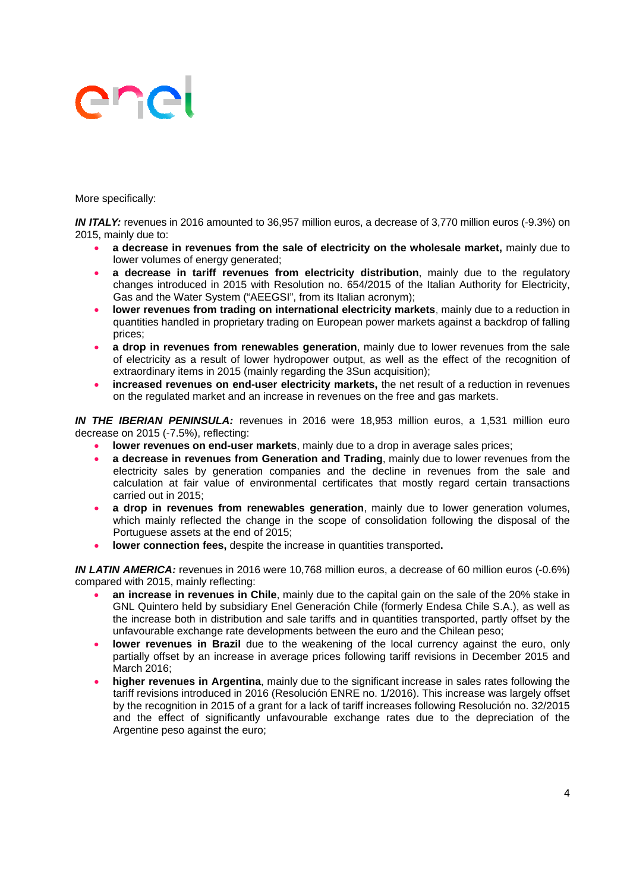More specifically:

*IN ITALY:* revenues in 2016 amounted to 36,957 million euros, a decrease of 3,770 million euros (-9.3%) on 2015, mainly due to:

- **a decrease in revenues from the sale of electricity on the wholesale market,** mainly due to lower volumes of energy generated;
- **a decrease in tariff revenues from electricity distribution**, mainly due to the regulatory changes introduced in 2015 with Resolution no. 654/2015 of the Italian Authority for Electricity, Gas and the Water System ("AEEGSI", from its Italian acronym);
- **lower revenues from trading on international electricity markets**, mainly due to a reduction in quantities handled in proprietary trading on European power markets against a backdrop of falling prices;
- **a drop in revenues from renewables generation**, mainly due to lower revenues from the sale of electricity as a result of lower hydropower output, as well as the effect of the recognition of extraordinary items in 2015 (mainly regarding the 3Sun acquisition);
- **increased revenues on end-user electricity markets,** the net result of a reduction in revenues on the regulated market and an increase in revenues on the free and gas markets.

*IN THE IBERIAN PENINSULA:* revenues in 2016 were 18,953 million euros, a 1,531 million euro decrease on 2015 (-7.5%), reflecting:

- **lower revenues on end-user markets**, mainly due to a drop in average sales prices;
- **a decrease in revenues from Generation and Trading**, mainly due to lower revenues from the electricity sales by generation companies and the decline in revenues from the sale and calculation at fair value of environmental certificates that mostly regard certain transactions carried out in 2015;
- **a drop in revenues from renewables generation**, mainly due to lower generation volumes, which mainly reflected the change in the scope of consolidation following the disposal of the Portuguese assets at the end of 2015;
- **lower connection fees,** despite the increase in quantities transported**.**

*IN LATIN AMERICA:* revenues in 2016 were 10,768 million euros, a decrease of 60 million euros (-0.6%) compared with 2015, mainly reflecting:

- **an increase in revenues in Chile**, mainly due to the capital gain on the sale of the 20% stake in GNL Quintero held by subsidiary Enel Generación Chile (formerly Endesa Chile S.A.), as well as the increase both in distribution and sale tariffs and in quantities transported, partly offset by the unfavourable exchange rate developments between the euro and the Chilean peso;
- **lower revenues in Brazil** due to the weakening of the local currency against the euro, only partially offset by an increase in average prices following tariff revisions in December 2015 and March 2016;
- **higher revenues in Argentina**, mainly due to the significant increase in sales rates following the tariff revisions introduced in 2016 (Resolución ENRE no. 1/2016). This increase was largely offset by the recognition in 2015 of a grant for a lack of tariff increases following Resolución no. 32/2015 and the effect of significantly unfavourable exchange rates due to the depreciation of the Argentine peso against the euro;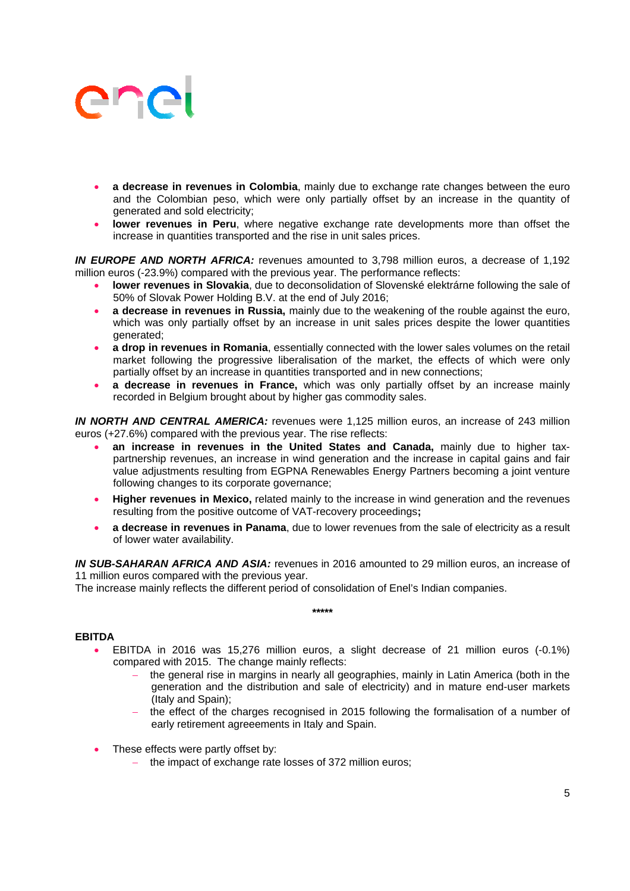- **a decrease in revenues in Colombia**, mainly due to exchange rate changes between the euro and the Colombian peso, which were only partially offset by an increase in the quantity of generated and sold electricity;
- **lower revenues in Peru**, where negative exchange rate developments more than offset the increase in quantities transported and the rise in unit sales prices.

*IN EUROPE AND NORTH AFRICA:* revenues amounted to 3,798 million euros, a decrease of 1,192 million euros (-23.9%) compared with the previous year. The performance reflects:

- **lower revenues in Slovakia**, due to deconsolidation of Slovenské elektrárne following the sale of 50% of Slovak Power Holding B.V. at the end of July 2016;
- **a decrease in revenues in Russia,** mainly due to the weakening of the rouble against the euro, which was only partially offset by an increase in unit sales prices despite the lower quantities generated;
- **a drop in revenues in Romania**, essentially connected with the lower sales volumes on the retail market following the progressive liberalisation of the market, the effects of which were only partially offset by an increase in quantities transported and in new connections;
- **a decrease in revenues in France,** which was only partially offset by an increase mainly recorded in Belgium brought about by higher gas commodity sales.

*IN NORTH AND CENTRAL AMERICA:* revenues were 1,125 million euros, an increase of 243 million euros (+27.6%) compared with the previous year. The rise reflects:

- **an increase in revenues in the United States and Canada, mainly due to higher tax**partnership revenues, an increase in wind generation and the increase in capital gains and fair value adjustments resulting from EGPNA Renewables Energy Partners becoming a joint venture following changes to its corporate governance;
- **Higher revenues in Mexico,** related mainly to the increase in wind generation and the revenues resulting from the positive outcome of VAT-recovery proceedings**;**
- **a decrease in revenues in Panama**, due to lower revenues from the sale of electricity as a result of lower water availability.

*IN SUB-SAHARAN AFRICA AND ASIA:* revenues in 2016 amounted to 29 million euros, an increase of 11 million euros compared with the previous year.

**\*\*\*\*\*** 

The increase mainly reflects the different period of consolidation of Enel's Indian companies.

### **EBITDA**

- EBITDA in 2016 was 15,276 million euros, a slight decrease of 21 million euros (-0.1%) compared with 2015. The change mainly reflects:
	- the general rise in margins in nearly all geographies, mainly in Latin America (both in the generation and the distribution and sale of electricity) and in mature end-user markets (Italy and Spain);
	- the effect of the charges recognised in 2015 following the formalisation of a number of early retirement agreeements in Italy and Spain.
- These effects were partly offset by:
	- the impact of exchange rate losses of 372 million euros;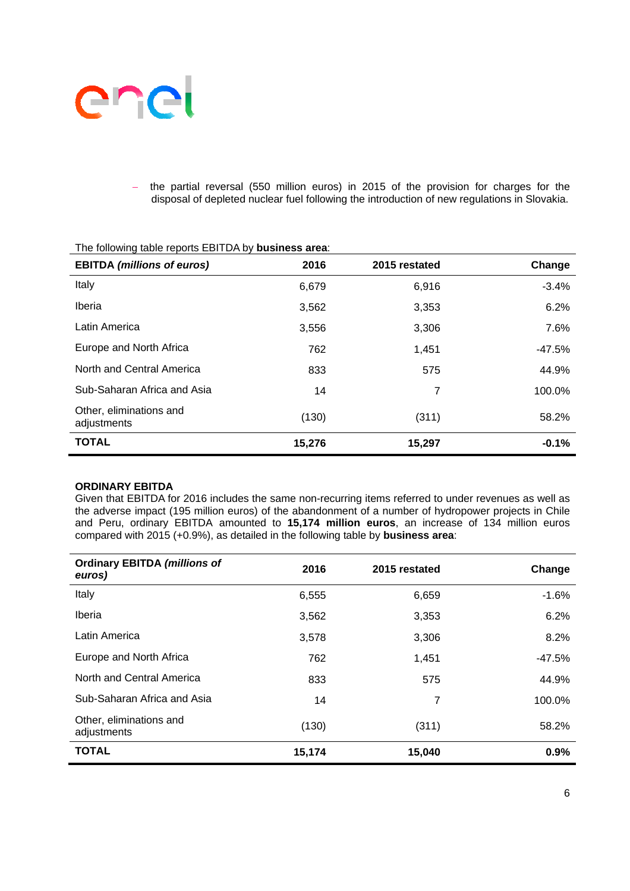

 the partial reversal (550 million euros) in 2015 of the provision for charges for the disposal of depleted nuclear fuel following the introduction of new regulations in Slovakia.

| <b>EBITDA (millions of euros)</b>      | 2016   | 2015 restated | Change  |
|----------------------------------------|--------|---------------|---------|
| Italy                                  | 6,679  | 6,916         | $-3.4%$ |
| Iberia                                 | 3,562  | 3,353         | 6.2%    |
| Latin America                          | 3,556  | 3,306         | 7.6%    |
| Europe and North Africa                | 762    | 1,451         | -47.5%  |
| North and Central America              | 833    | 575           | 44.9%   |
| Sub-Saharan Africa and Asia            | 14     | 7             | 100.0%  |
| Other, eliminations and<br>adjustments | (130)  | (311)         | 58.2%   |
| <b>TOTAL</b>                           | 15,276 | 15,297        | $-0.1%$ |

### The following table reports EBITDA by **business area**:

#### **ORDINARY EBITDA**

Given that EBITDA for 2016 includes the same non-recurring items referred to under revenues as well as the adverse impact (195 million euros) of the abandonment of a number of hydropower projects in Chile and Peru, ordinary EBITDA amounted to **15,174 million euros**, an increase of 134 million euros compared with 2015 (+0.9%), as detailed in the following table by **business area**:

| <b>Ordinary EBITDA (millions of</b><br>euros) | 2016   | 2015 restated | Change  |
|-----------------------------------------------|--------|---------------|---------|
| Italy                                         | 6,555  | 6,659         | $-1.6%$ |
| Iberia                                        | 3,562  | 3,353         | 6.2%    |
| Latin America                                 | 3,578  | 3,306         | 8.2%    |
| Europe and North Africa                       | 762    | 1,451         | -47.5%  |
| North and Central America                     | 833    | 575           | 44.9%   |
| Sub-Saharan Africa and Asia                   | 14     | 7             | 100.0%  |
| Other, eliminations and<br>adjustments        | (130)  | (311)         | 58.2%   |
| <b>TOTAL</b>                                  | 15,174 | 15,040        | 0.9%    |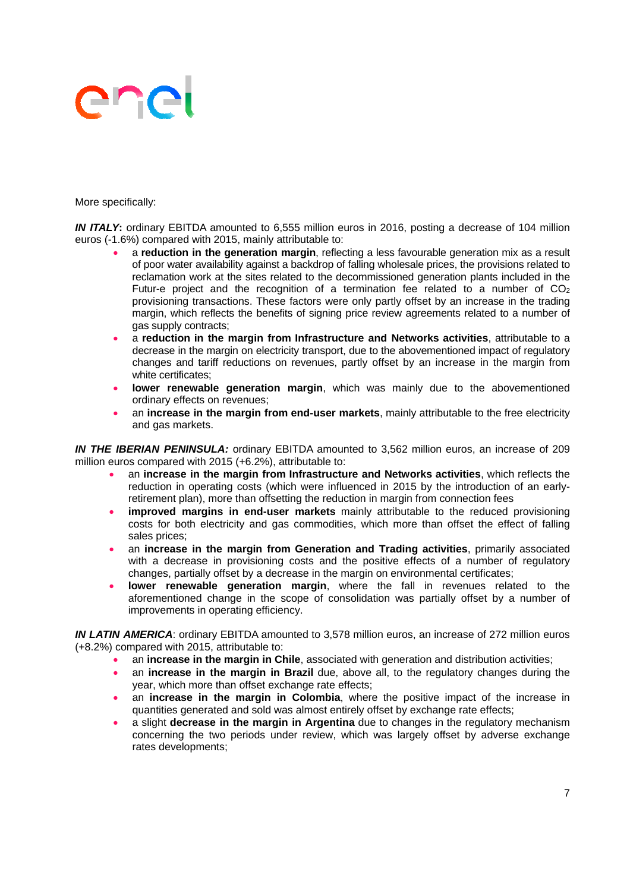More specifically:

*IN ITALY***:** ordinary EBITDA amounted to 6,555 million euros in 2016, posting a decrease of 104 million euros (-1.6%) compared with 2015, mainly attributable to:

- a **reduction in the generation margin**, reflecting a less favourable generation mix as a result of poor water availability against a backdrop of falling wholesale prices, the provisions related to reclamation work at the sites related to the decommissioned generation plants included in the Futur-e project and the recognition of a termination fee related to a number of  $CO<sub>2</sub>$ provisioning transactions. These factors were only partly offset by an increase in the trading margin, which reflects the benefits of signing price review agreements related to a number of gas supply contracts;
- a **reduction in the margin from Infrastructure and Networks activities**, attributable to a decrease in the margin on electricity transport, due to the abovementioned impact of regulatory changes and tariff reductions on revenues, partly offset by an increase in the margin from white certificates;
- **lower renewable generation margin**, which was mainly due to the abovementioned ordinary effects on revenues;
- an **increase in the margin from end-user markets**, mainly attributable to the free electricity and gas markets.

**IN THE IBERIAN PENINSULA:** ordinary EBITDA amounted to 3,562 million euros, an increase of 209 million euros compared with 2015 (+6.2%), attributable to:

- an **increase in the margin from Infrastructure and Networks activities**, which reflects the reduction in operating costs (which were influenced in 2015 by the introduction of an earlyretirement plan), more than offsetting the reduction in margin from connection fees
- **improved margins in end-user markets** mainly attributable to the reduced provisioning costs for both electricity and gas commodities, which more than offset the effect of falling sales prices;
- an **increase in the margin from Generation and Trading activities**, primarily associated with a decrease in provisioning costs and the positive effects of a number of regulatory changes, partially offset by a decrease in the margin on environmental certificates;
- **lower renewable generation margin**, where the fall in revenues related to the aforementioned change in the scope of consolidation was partially offset by a number of improvements in operating efficiency.

*IN LATIN AMERICA*: ordinary EBITDA amounted to 3,578 million euros, an increase of 272 million euros (+8.2%) compared with 2015, attributable to:

- an **increase in the margin in Chile**, associated with generation and distribution activities;
- an **increase in the margin in Brazil** due, above all, to the regulatory changes during the year, which more than offset exchange rate effects;
- an **increase in the margin in Colombia**, where the positive impact of the increase in quantities generated and sold was almost entirely offset by exchange rate effects;
- a slight **decrease in the margin in Argentina** due to changes in the regulatory mechanism concerning the two periods under review, which was largely offset by adverse exchange rates developments;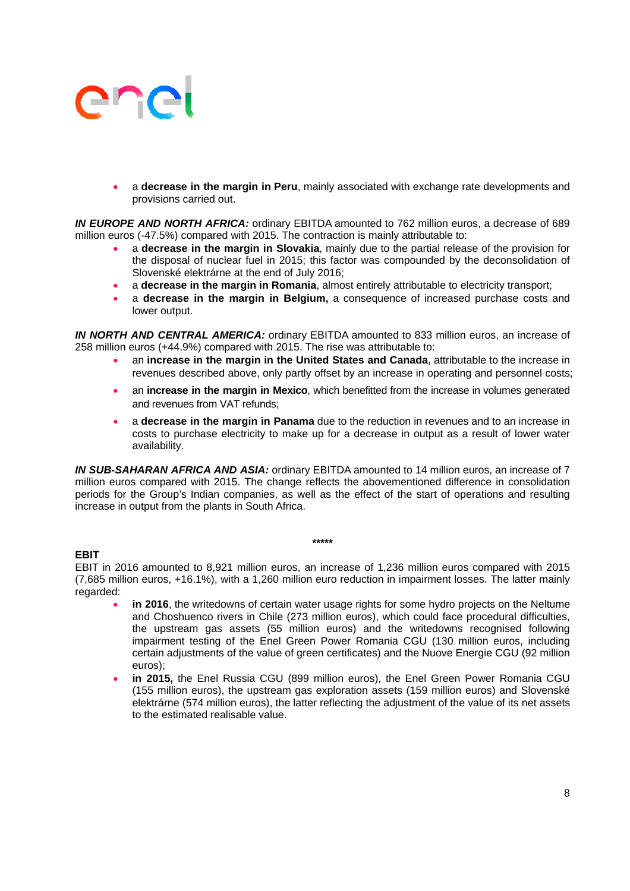a **decrease in the margin in Peru**, mainly associated with exchange rate developments and provisions carried out.

*IN EUROPE AND NORTH AFRICA:* ordinary EBITDA amounted to 762 million euros, a decrease of 689 million euros (-47.5%) compared with 2015. The contraction is mainly attributable to:

- a **decrease in the margin in Slovakia**, mainly due to the partial release of the provision for the disposal of nuclear fuel in 2015; this factor was compounded by the deconsolidation of Slovenské elektrárne at the end of July 2016;
- a **decrease in the margin in Romania**, almost entirely attributable to electricity transport;
- a **decrease in the margin in Belgium,** a consequence of increased purchase costs and lower output.

*IN NORTH AND CENTRAL AMERICA:* ordinary EBITDA amounted to 833 million euros, an increase of 258 million euros (+44.9%) compared with 2015. The rise was attributable to:

- an **increase in the margin in the United States and Canada**, attributable to the increase in revenues described above, only partly offset by an increase in operating and personnel costs;
- an **increase in the margin in Mexico**, which benefitted from the increase in volumes generated and revenues from VAT refunds;
- a **decrease in the margin in Panama** due to the reduction in revenues and to an increase in costs to purchase electricity to make up for a decrease in output as a result of lower water availability.

*IN SUB-SAHARAN AFRICA AND ASIA:* ordinary EBITDA amounted to 14 million euros, an increase of 7 million euros compared with 2015. The change reflects the abovementioned difference in consolidation periods for the Group's Indian companies, as well as the effect of the start of operations and resulting increase in output from the plants in South Africa.

### **EBIT**

EBIT in 2016 amounted to 8,921 million euros, an increase of 1,236 million euros compared with 2015 (7,685 million euros, +16.1%), with a 1,260 million euro reduction in impairment losses. The latter mainly regarded:

**\*\*\*\*\*** 

- **in 2016**, the writedowns of certain water usage rights for some hydro projects on the Neltume and Choshuenco rivers in Chile (273 million euros), which could face procedural difficulties, the upstream gas assets (55 million euros) and the writedowns recognised following impairment testing of the Enel Green Power Romania CGU (130 million euros, including certain adjustments of the value of green certificates) and the Nuove Energie CGU (92 million euros);
- **in 2015,** the Enel Russia CGU (899 million euros), the Enel Green Power Romania CGU (155 million euros), the upstream gas exploration assets (159 million euros) and Slovenské elektrárne (574 million euros), the latter reflecting the adjustment of the value of its net assets to the estimated realisable value.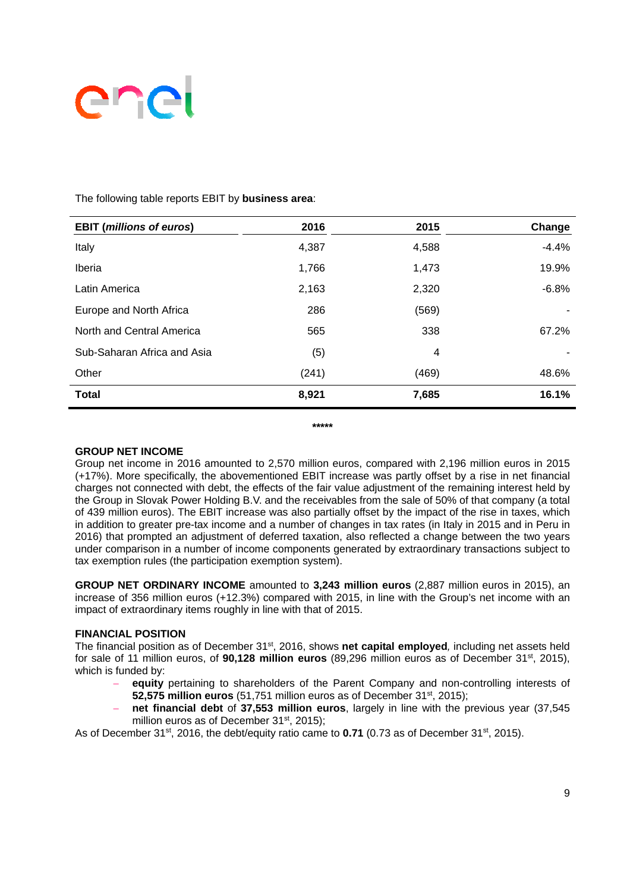

| <b>EBIT (millions of euros)</b> | 2016  | 2015  | Change  |
|---------------------------------|-------|-------|---------|
| Italy                           | 4,387 | 4,588 | $-4.4%$ |
| Iberia                          | 1,766 | 1,473 | 19.9%   |
| Latin America                   | 2,163 | 2,320 | $-6.8%$ |
| Europe and North Africa         | 286   | (569) |         |
| North and Central America       | 565   | 338   | 67.2%   |
| Sub-Saharan Africa and Asia     | (5)   | 4     |         |
| Other                           | (241) | (469) | 48.6%   |
| <b>Total</b>                    | 8,921 | 7,685 | 16.1%   |
|                                 |       |       |         |

The following table reports EBIT by **business area**:

**\*\*\*\*\*** 

### **GROUP NET INCOME**

Group net income in 2016 amounted to 2,570 million euros, compared with 2,196 million euros in 2015 (+17%). More specifically, the abovementioned EBIT increase was partly offset by a rise in net financial charges not connected with debt, the effects of the fair value adjustment of the remaining interest held by the Group in Slovak Power Holding B.V. and the receivables from the sale of 50% of that company (a total of 439 million euros). The EBIT increase was also partially offset by the impact of the rise in taxes, which in addition to greater pre-tax income and a number of changes in tax rates (in Italy in 2015 and in Peru in 2016) that prompted an adjustment of deferred taxation, also reflected a change between the two years under comparison in a number of income components generated by extraordinary transactions subject to tax exemption rules (the participation exemption system).

**GROUP NET ORDINARY INCOME** amounted to **3,243 million euros** (2,887 million euros in 2015), an increase of 356 million euros (+12.3%) compared with 2015, in line with the Group's net income with an impact of extraordinary items roughly in line with that of 2015.

### **FINANCIAL POSITION**

The financial position as of December 31st, 2016, shows **net capital employed***,* including net assets held for sale of 11 million euros, of **90,128 million euros** (89,296 million euros as of December 31st, 2015), which is funded by:

- **equity** pertaining to shareholders of the Parent Company and non-controlling interests of **52,575 million euros** (51,751 million euros as of December 31st, 2015);
- **net financial debt** of **37,553 million euros**, largely in line with the previous year (37,545 million euros as of December 31<sup>st</sup>, 2015);

As of December 31<sup>st</sup>, 2016, the debt/equity ratio came to **0.71** (0.73 as of December 31<sup>st</sup>, 2015).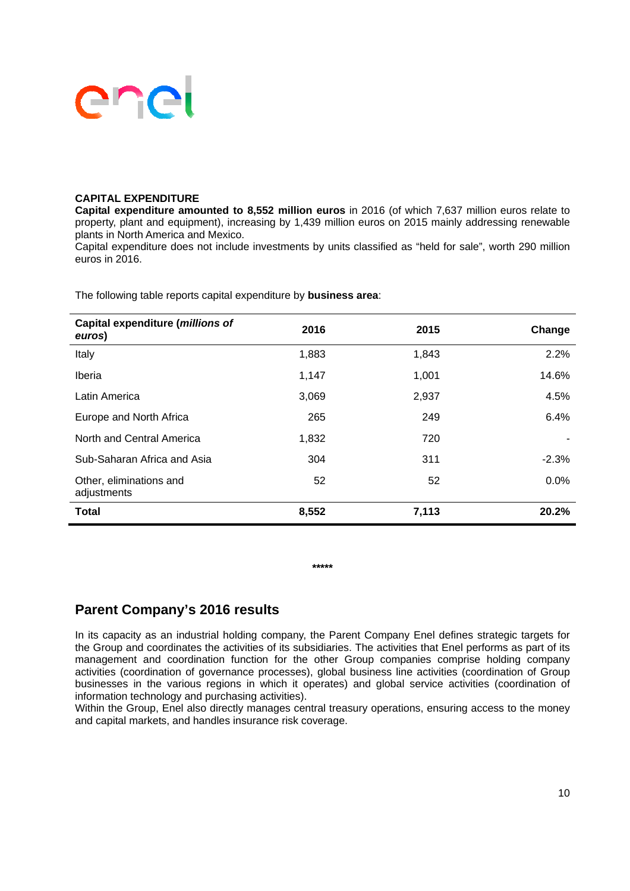#### **CAPITAL EXPENDITURE**

**Capital expenditure amounted to 8,552 million euros** in 2016 (of which 7,637 million euros relate to property, plant and equipment), increasing by 1,439 million euros on 2015 mainly addressing renewable plants in North America and Mexico.

Capital expenditure does not include investments by units classified as "held for sale", worth 290 million euros in 2016.

| Capital expenditure (millions of<br>euros) | 2016  | 2015  | Change  |
|--------------------------------------------|-------|-------|---------|
| Italy                                      | 1,883 | 1,843 | 2.2%    |
| Iberia                                     | 1,147 | 1,001 | 14.6%   |
| Latin America                              | 3,069 | 2,937 | 4.5%    |
| Europe and North Africa                    | 265   | 249   | 6.4%    |
| North and Central America                  | 1,832 | 720   |         |
| Sub-Saharan Africa and Asia                | 304   | 311   | $-2.3%$ |
| Other, eliminations and<br>adjustments     | 52    | 52    | 0.0%    |
| <b>Total</b>                               | 8,552 | 7,113 | 20.2%   |

The following table reports capital expenditure by **business area**:

**\*\*\*\*\*** 

## **Parent Company's 2016 results**

In its capacity as an industrial holding company, the Parent Company Enel defines strategic targets for the Group and coordinates the activities of its subsidiaries. The activities that Enel performs as part of its management and coordination function for the other Group companies comprise holding company activities (coordination of governance processes), global business line activities (coordination of Group businesses in the various regions in which it operates) and global service activities (coordination of information technology and purchasing activities).

Within the Group, Enel also directly manages central treasury operations, ensuring access to the money and capital markets, and handles insurance risk coverage.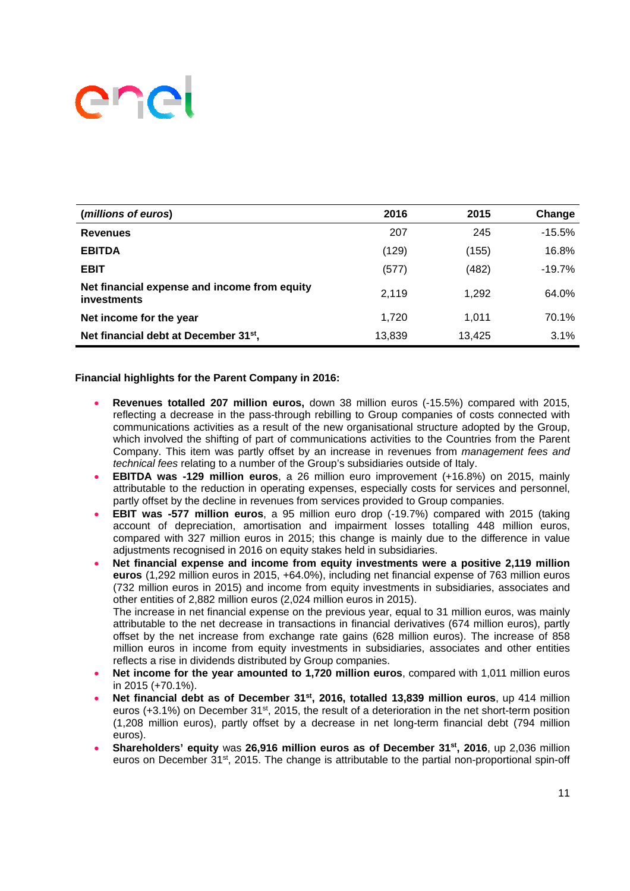| (millions of euros)                                         | 2016   | 2015   | Change   |
|-------------------------------------------------------------|--------|--------|----------|
| <b>Revenues</b>                                             | 207    | 245    | $-15.5%$ |
| <b>EBITDA</b>                                               | (129)  | (155)  | 16.8%    |
| <b>EBIT</b>                                                 | (577)  | (482)  | $-19.7%$ |
| Net financial expense and income from equity<br>investments | 2.119  | 1.292  | 64.0%    |
| Net income for the year                                     | 1.720  | 1.011  | 70.1%    |
| Net financial debt at December 31 <sup>st</sup> ,           | 13,839 | 13.425 | 3.1%     |

### **Financial highlights for the Parent Company in 2016:**

- **Revenues totalled 207 million euros,** down 38 million euros (-15.5%) compared with 2015, reflecting a decrease in the pass-through rebilling to Group companies of costs connected with communications activities as a result of the new organisational structure adopted by the Group, which involved the shifting of part of communications activities to the Countries from the Parent Company. This item was partly offset by an increase in revenues from *management fees and technical fees* relating to a number of the Group's subsidiaries outside of Italy.
- **EBITDA was -129 million euros**, a 26 million euro improvement (+16.8%) on 2015, mainly attributable to the reduction in operating expenses, especially costs for services and personnel, partly offset by the decline in revenues from services provided to Group companies.
- **EBIT was -577 million euros**, a 95 million euro drop (-19.7%) compared with 2015 (taking account of depreciation, amortisation and impairment losses totalling 448 million euros, compared with 327 million euros in 2015; this change is mainly due to the difference in value adjustments recognised in 2016 on equity stakes held in subsidiaries.
- **Net financial expense and income from equity investments were a positive 2,119 million euros** (1,292 million euros in 2015, +64.0%), including net financial expense of 763 million euros (732 million euros in 2015) and income from equity investments in subsidiaries, associates and other entities of 2,882 million euros (2,024 million euros in 2015). The increase in net financial expense on the previous year, equal to 31 million euros, was mainly attributable to the net decrease in transactions in financial derivatives (674 million euros), partly offset by the net increase from exchange rate gains (628 million euros). The increase of 858 million euros in income from equity investments in subsidiaries, associates and other entities reflects a rise in dividends distributed by Group companies.
- **Net income for the year amounted to 1,720 million euros**, compared with 1,011 million euros in 2015 (+70.1%).
- Net financial debt as of December 31<sup>st</sup>, 2016, totalled 13,839 million euros, up 414 million euros (+3.1%) on December  $31<sup>st</sup>$ , 2015, the result of a deterioration in the net short-term position (1,208 million euros), partly offset by a decrease in net long-term financial debt (794 million euros).
- **Shareholders' equity** was **26,916 million euros as of December 31st, 2016**, up 2,036 million euros on December  $31<sup>st</sup>$ , 2015. The change is attributable to the partial non-proportional spin-off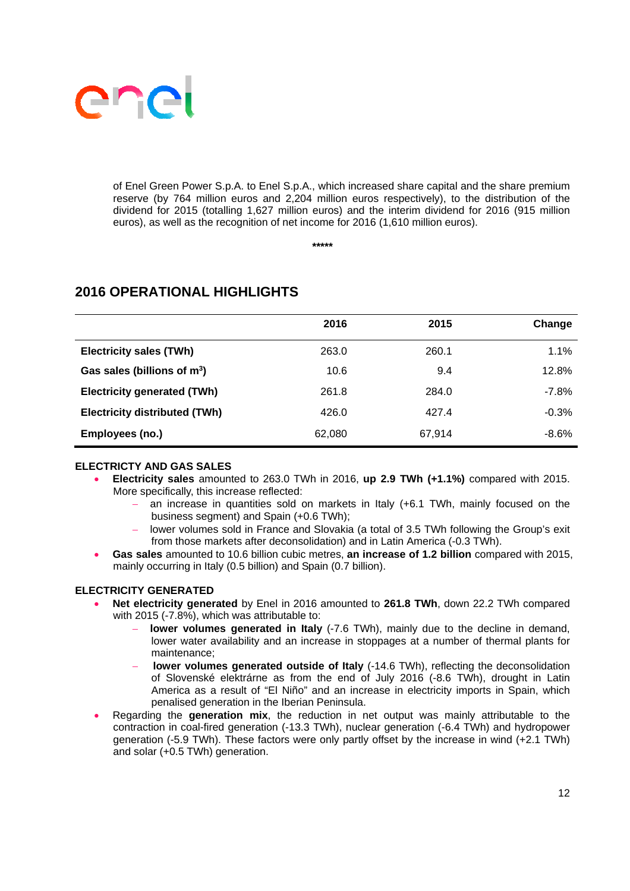

of Enel Green Power S.p.A. to Enel S.p.A., which increased share capital and the share premium reserve (by 764 million euros and 2,204 million euros respectively), to the distribution of the dividend for 2015 (totalling 1,627 million euros) and the interim dividend for 2016 (915 million euros), as well as the recognition of net income for 2016 (1,610 million euros).

**\*\*\*\*\*** 

|                                      | 2016   | 2015   | Change   |
|--------------------------------------|--------|--------|----------|
| <b>Electricity sales (TWh)</b>       | 263.0  | 260.1  | 1.1%     |
| Gas sales (billions of $m^3$ )       | 10.6   | 9.4    | 12.8%    |
| <b>Electricity generated (TWh)</b>   | 261.8  | 284.0  | $-7.8\%$ |
| <b>Electricity distributed (TWh)</b> | 426.0  | 427.4  | $-0.3%$  |
| Employees (no.)                      | 62,080 | 67,914 | $-8.6%$  |

# **2016 OPERATIONAL HIGHLIGHTS**

### **ELECTRICTY AND GAS SALES**

- **Electricity sales** amounted to 263.0 TWh in 2016, **up 2.9 TWh (+1.1%)** compared with 2015. More specifically, this increase reflected:
	- an increase in quantities sold on markets in Italy (+6.1 TWh, mainly focused on the business segment) and Spain (+0.6 TWh);
	- lower volumes sold in France and Slovakia (a total of 3.5 TWh following the Group's exit from those markets after deconsolidation) and in Latin America (-0.3 TWh).
- **Gas sales** amounted to 10.6 billion cubic metres, **an increase of 1.2 billion** compared with 2015, mainly occurring in Italy (0.5 billion) and Spain (0.7 billion).

### **ELECTRICITY GENERATED**

- **Net electricity generated** by Enel in 2016 amounted to **261.8 TWh**, down 22.2 TWh compared with 2015 (-7.8%), which was attributable to:
	- **lower volumes generated in Italy** (-7.6 TWh), mainly due to the decline in demand, lower water availability and an increase in stoppages at a number of thermal plants for maintenance;
	- **lower volumes generated outside of Italy** (-14.6 TWh), reflecting the deconsolidation of Slovenské elektrárne as from the end of July 2016 (-8.6 TWh), drought in Latin America as a result of "El Niño" and an increase in electricity imports in Spain, which penalised generation in the Iberian Peninsula.
- Regarding the **generation mix**, the reduction in net output was mainly attributable to the contraction in coal-fired generation (-13.3 TWh), nuclear generation (-6.4 TWh) and hydropower generation (-5.9 TWh). These factors were only partly offset by the increase in wind (+2.1 TWh) and solar (+0.5 TWh) generation.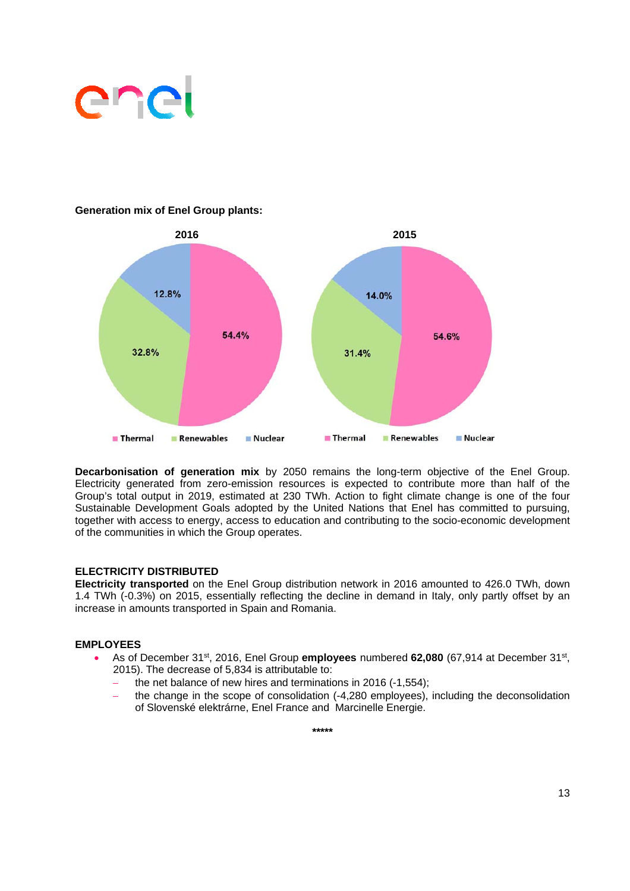

### **Generation mix of Enel Group plants:**



**Decarbonisation of generation mix** by 2050 remains the long-term objective of the Enel Group. Electricity generated from zero-emission resources is expected to contribute more than half of the Group's total output in 2019, estimated at 230 TWh. Action to fight climate change is one of the four Sustainable Development Goals adopted by the United Nations that Enel has committed to pursuing, together with access to energy, access to education and contributing to the socio-economic development of the communities in which the Group operates.

### **ELECTRICITY DISTRIBUTED**

**Electricity transported** on the Enel Group distribution network in 2016 amounted to 426.0 TWh, down 1.4 TWh (-0.3%) on 2015, essentially reflecting the decline in demand in Italy, only partly offset by an increase in amounts transported in Spain and Romania.

#### **EMPLOYEES**

- As of December 31st, 2016, Enel Group **employees** numbered **62,080** (67,914 at December 31st, 2015). The decrease of 5,834 is attributable to:
	- the net balance of new hires and terminations in 2016 (-1,554);
	- the change in the scope of consolidation (-4,280 employees), including the deconsolidation of Slovenské elektrárne, Enel France and Marcinelle Energie.

**\*\*\*\*\***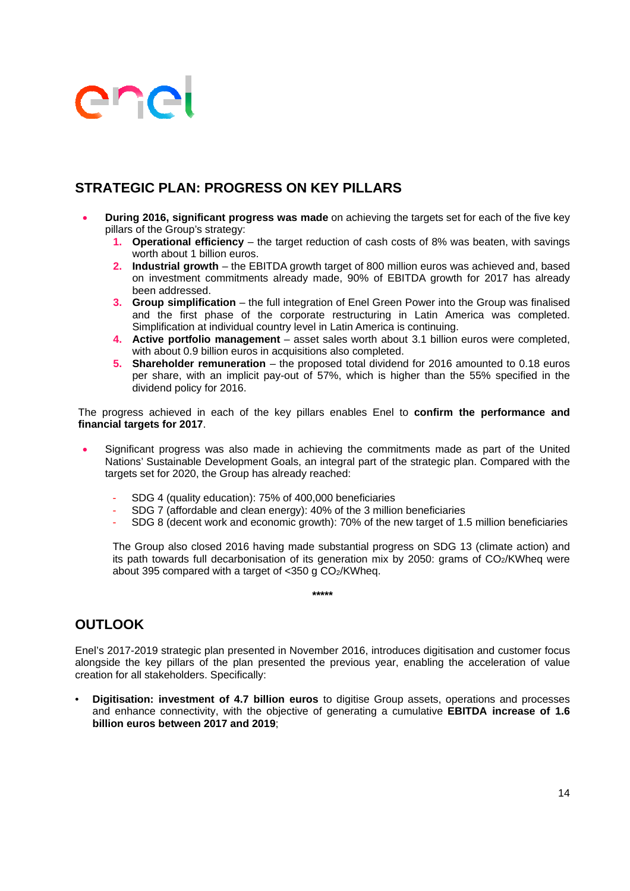# **STRATEGIC PLAN: PROGRESS ON KEY PILLARS**

- **During 2016, significant progress was made** on achieving the targets set for each of the five key pillars of the Group's strategy:
	- **1. Operational efficiency** the target reduction of cash costs of 8% was beaten, with savings worth about 1 billion euros.
	- **2. Industrial growth** the EBITDA growth target of 800 million euros was achieved and, based on investment commitments already made, 90% of EBITDA growth for 2017 has already been addressed.
	- **3. Group simplification**  the full integration of Enel Green Power into the Group was finalised and the first phase of the corporate restructuring in Latin America was completed. Simplification at individual country level in Latin America is continuing.
	- **4. Active portfolio management** asset sales worth about 3.1 billion euros were completed, with about 0.9 billion euros in acquisitions also completed.
	- **5.** Shareholder remuneration the proposed total dividend for 2016 amounted to 0.18 euros per share, with an implicit pay-out of 57%, which is higher than the 55% specified in the dividend policy for 2016.

The progress achieved in each of the key pillars enables Enel to **confirm the performance and financial targets for 2017**.

- Significant progress was also made in achieving the commitments made as part of the United Nations' Sustainable Development Goals, an integral part of the strategic plan. Compared with the targets set for 2020, the Group has already reached:
	- SDG 4 (quality education): 75% of 400,000 beneficiaries
	- SDG 7 (affordable and clean energy): 40% of the 3 million beneficiaries
	- SDG 8 (decent work and economic growth): 70% of the new target of 1.5 million beneficiaries

The Group also closed 2016 having made substantial progress on SDG 13 (climate action) and its path towards full decarbonisation of its generation mix by 2050: grams of  $CO<sub>2</sub>/KWhed$  were about 395 compared with a target of  $\langle$ 350 g CO<sub>2</sub>/KWheg.

**\*\*\*\*\*** 

## **OUTLOOK**

Enel's 2017-2019 strategic plan presented in November 2016, introduces digitisation and customer focus alongside the key pillars of the plan presented the previous year, enabling the acceleration of value creation for all stakeholders. Specifically:

• **Digitisation: investment of 4.7 billion euros** to digitise Group assets, operations and processes and enhance connectivity, with the objective of generating a cumulative **EBITDA increase of 1.6 billion euros between 2017 and 2019**;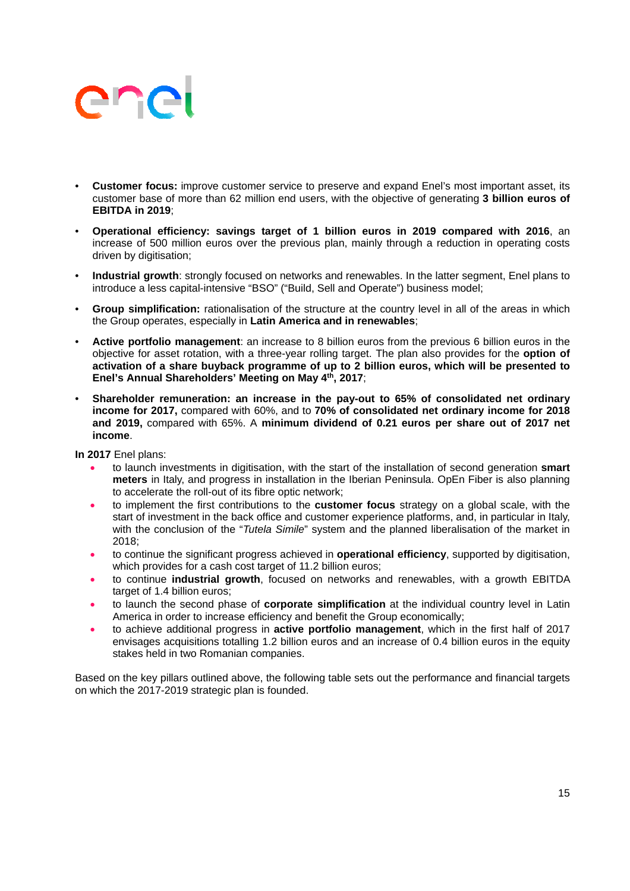# ener

- **Customer focus:** improve customer service to preserve and expand Enel's most important asset, its customer base of more than 62 million end users, with the objective of generating **3 billion euros of EBITDA in 2019**;
- **Operational efficiency: savings target of 1 billion euros in 2019 compared with 2016**, an increase of 500 million euros over the previous plan, mainly through a reduction in operating costs driven by digitisation;
- **Industrial growth**: strongly focused on networks and renewables. In the latter segment, Enel plans to introduce a less capital-intensive "BSO" ("Build, Sell and Operate") business model;
- **Group simplification:** rationalisation of the structure at the country level in all of the areas in which the Group operates, especially in **Latin America and in renewables**;
- **Active portfolio management**: an increase to 8 billion euros from the previous 6 billion euros in the objective for asset rotation, with a three-year rolling target. The plan also provides for the **option of activation of a share buyback programme of up to 2 billion euros, which will be presented to Enel's Annual Shareholders' Meeting on May 4th, 2017**;
- **Shareholder remuneration: an increase in the pay-out to 65% of consolidated net ordinary income for 2017,** compared with 60%, and to **70% of consolidated net ordinary income for 2018 and 2019,** compared with 65%. A **minimum dividend of 0.21 euros per share out of 2017 net income**.

**In 2017** Enel plans:

- to launch investments in digitisation, with the start of the installation of second generation **smart meters** in Italy, and progress in installation in the Iberian Peninsula. OpEn Fiber is also planning to accelerate the roll-out of its fibre optic network;
- to implement the first contributions to the **customer focus** strategy on a global scale, with the start of investment in the back office and customer experience platforms, and, in particular in Italy, with the conclusion of the "*Tutela Simile*" system and the planned liberalisation of the market in 2018;
- to continue the significant progress achieved in **operational efficiency**, supported by digitisation, which provides for a cash cost target of 11.2 billion euros;
- to continue **industrial growth**, focused on networks and renewables, with a growth EBITDA target of 1.4 billion euros:
- to launch the second phase of **corporate simplification** at the individual country level in Latin America in order to increase efficiency and benefit the Group economically;
- to achieve additional progress in **active portfolio management**, which in the first half of 2017 envisages acquisitions totalling 1.2 billion euros and an increase of 0.4 billion euros in the equity stakes held in two Romanian companies.

Based on the key pillars outlined above, the following table sets out the performance and financial targets on which the 2017-2019 strategic plan is founded.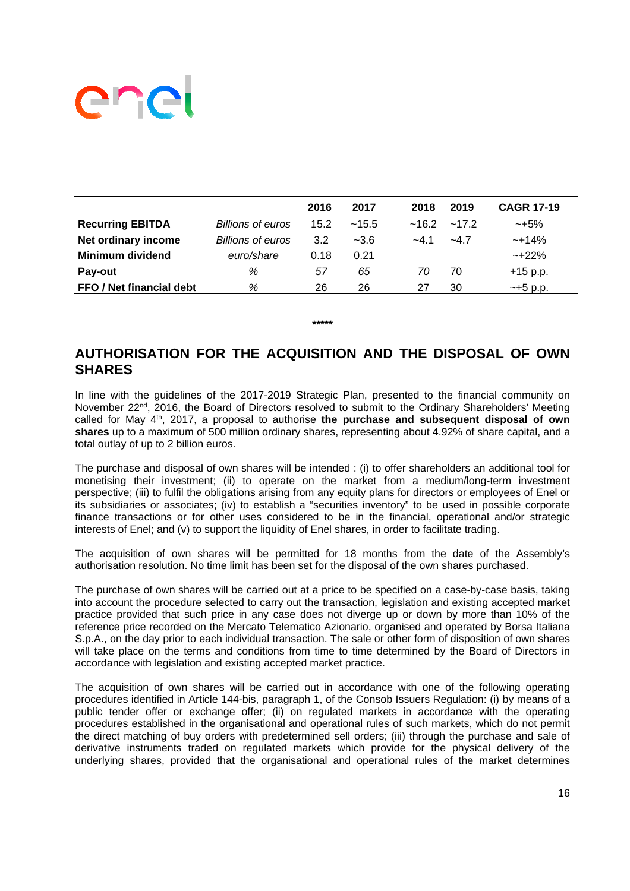|                          |                          | 2016 | 2017   | 2018              | 2019  | <b>CAGR 17-19</b> |
|--------------------------|--------------------------|------|--------|-------------------|-------|-------------------|
| <b>Recurring EBITDA</b>  | <b>Billions of euros</b> | 15.2 | ~15.5  | $~16.2~$ $~17.2~$ |       | $~10-15\%$        |
| Net ordinary income      | Billions of euros        | 3.2  | $-3.6$ | $-4.1$            | $-47$ | $~14\%$           |
| <b>Minimum dividend</b>  | euro/share               | 0.18 | 0.21   |                   |       | $~122\%$          |
| Pay-out                  | %                        | 57   | 65     | 70                | 70    | $+15$ p.p.        |
| FFO / Net financial debt | %                        | 26   | 26     | 27                | 30    | $-+5$ p.p.        |

## **AUTHORISATION FOR THE ACQUISITION AND THE DISPOSAL OF OWN SHARES**

**\*\*\*\*\*** 

In line with the guidelines of the 2017-2019 Strategic Plan, presented to the financial community on November 22<sup>nd</sup>, 2016, the Board of Directors resolved to submit to the Ordinary Shareholders' Meeting called for May 4th, 2017, a proposal to authorise **the purchase and subsequent disposal of own shares** up to a maximum of 500 million ordinary shares, representing about 4.92% of share capital, and a total outlay of up to 2 billion euros.

The purchase and disposal of own shares will be intended : (i) to offer shareholders an additional tool for monetising their investment; (ii) to operate on the market from a medium/long-term investment perspective; (iii) to fulfil the obligations arising from any equity plans for directors or employees of Enel or its subsidiaries or associates; (iv) to establish a "securities inventory" to be used in possible corporate finance transactions or for other uses considered to be in the financial, operational and/or strategic interests of Enel; and (v) to support the liquidity of Enel shares, in order to facilitate trading.

The acquisition of own shares will be permitted for 18 months from the date of the Assembly's authorisation resolution. No time limit has been set for the disposal of the own shares purchased.

The purchase of own shares will be carried out at a price to be specified on a case-by-case basis, taking into account the procedure selected to carry out the transaction, legislation and existing accepted market practice provided that such price in any case does not diverge up or down by more than 10% of the reference price recorded on the Mercato Telematico Azionario, organised and operated by Borsa Italiana S.p.A., on the day prior to each individual transaction. The sale or other form of disposition of own shares will take place on the terms and conditions from time to time determined by the Board of Directors in accordance with legislation and existing accepted market practice.

The acquisition of own shares will be carried out in accordance with one of the following operating procedures identified in Article 144-bis, paragraph 1, of the Consob Issuers Regulation: (i) by means of a public tender offer or exchange offer; (ii) on regulated markets in accordance with the operating procedures established in the organisational and operational rules of such markets, which do not permit the direct matching of buy orders with predetermined sell orders; (iii) through the purchase and sale of derivative instruments traded on regulated markets which provide for the physical delivery of the underlying shares, provided that the organisational and operational rules of the market determines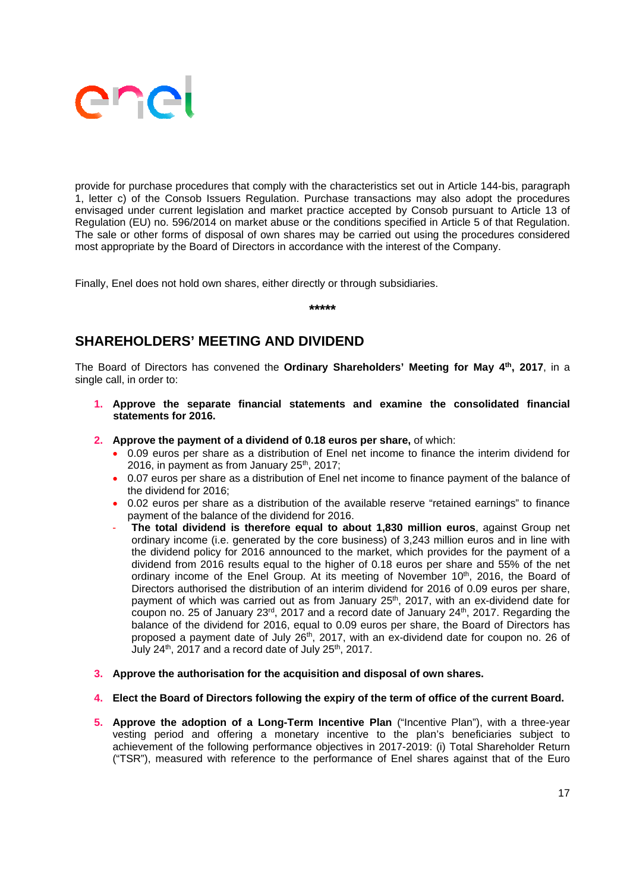

provide for purchase procedures that comply with the characteristics set out in Article 144-bis, paragraph 1, letter c) of the Consob Issuers Regulation. Purchase transactions may also adopt the procedures envisaged under current legislation and market practice accepted by Consob pursuant to Article 13 of Regulation (EU) no. 596/2014 on market abuse or the conditions specified in Article 5 of that Regulation. The sale or other forms of disposal of own shares may be carried out using the procedures considered most appropriate by the Board of Directors in accordance with the interest of the Company.

Finally, Enel does not hold own shares, either directly or through subsidiaries.

**\*\*\*\*\***

## **SHAREHOLDERS' MEETING AND DIVIDEND**

The Board of Directors has convened the **Ordinary Shareholders' Meeting for May 4th, 2017**, in a single call, in order to:

- **1. Approve the separate financial statements and examine the consolidated financial statements for 2016.**
- **2. Approve the payment of a dividend of 0.18 euros per share,** of which:
	- 0.09 euros per share as a distribution of Enel net income to finance the interim dividend for 2016, in payment as from January  $25<sup>th</sup>$ , 2017;
	- 0.07 euros per share as a distribution of Enel net income to finance payment of the balance of the dividend for 2016;
	- 0.02 euros per share as a distribution of the available reserve "retained earnings" to finance payment of the balance of the dividend for 2016.
	- **The total dividend is therefore equal to about 1,830 million euros**, against Group net ordinary income (i.e. generated by the core business) of 3,243 million euros and in line with the dividend policy for 2016 announced to the market, which provides for the payment of a dividend from 2016 results equal to the higher of 0.18 euros per share and 55% of the net ordinary income of the Enel Group. At its meeting of November 10<sup>th</sup>, 2016, the Board of Directors authorised the distribution of an interim dividend for 2016 of 0.09 euros per share, payment of which was carried out as from January 25<sup>th</sup>, 2017, with an ex-dividend date for coupon no. 25 of January 23 $^{rd}$ , 2017 and a record date of January 24<sup>th</sup>, 2017. Regarding the balance of the dividend for 2016, equal to 0.09 euros per share, the Board of Directors has proposed a payment date of July 26<sup>th</sup>, 2017, with an ex-dividend date for coupon no. 26 of July  $24<sup>th</sup>$ ,  $2017$  and a record date of July  $25<sup>th</sup>$ ,  $2017$ .
- **3. Approve the authorisation for the acquisition and disposal of own shares.**

#### **4. Elect the Board of Directors following the expiry of the term of office of the current Board.**

**5. Approve the adoption of a Long-Term Incentive Plan** ("Incentive Plan"), with a three-year vesting period and offering a monetary incentive to the plan's beneficiaries subject to achievement of the following performance objectives in 2017-2019: (i) Total Shareholder Return ("TSR"), measured with reference to the performance of Enel shares against that of the Euro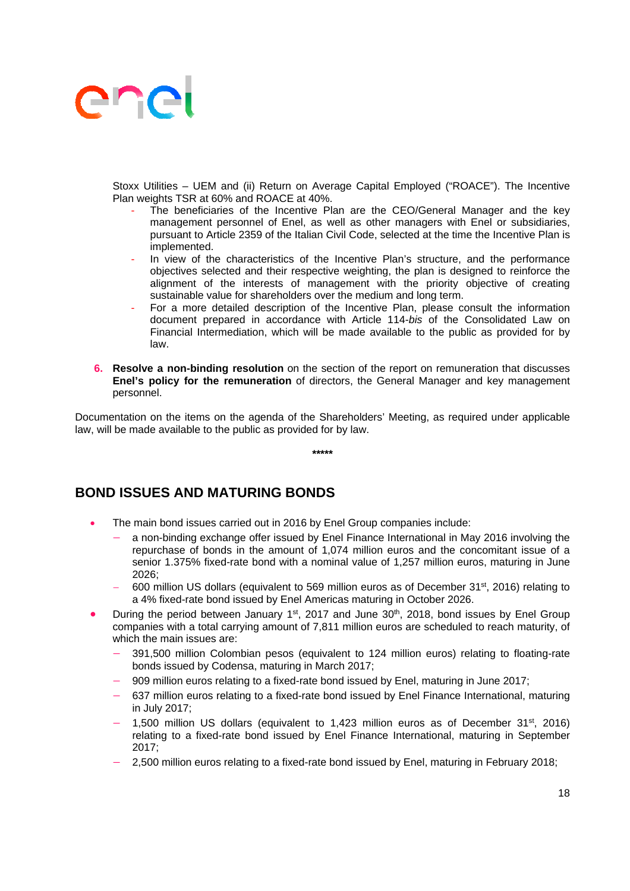

Stoxx Utilities – UEM and (ii) Return on Average Capital Employed ("ROACE"). The Incentive Plan weights TSR at 60% and ROACE at 40%.

- The beneficiaries of the Incentive Plan are the CEO/General Manager and the key management personnel of Enel, as well as other managers with Enel or subsidiaries, pursuant to Article 2359 of the Italian Civil Code, selected at the time the Incentive Plan is implemented.
- In view of the characteristics of the Incentive Plan's structure, and the performance objectives selected and their respective weighting, the plan is designed to reinforce the alignment of the interests of management with the priority objective of creating sustainable value for shareholders over the medium and long term.
- For a more detailed description of the Incentive Plan, please consult the information document prepared in accordance with Article 114-*bis* of the Consolidated Law on Financial Intermediation, which will be made available to the public as provided for by law.
- **6. Resolve a non-binding resolution** on the section of the report on remuneration that discusses **Enel's policy for the remuneration** of directors, the General Manager and key management personnel.

Documentation on the items on the agenda of the Shareholders' Meeting, as required under applicable law, will be made available to the public as provided for by law.

**\*\*\*\*\***

## **BOND ISSUES AND MATURING BONDS**

- The main bond issues carried out in 2016 by Enel Group companies include:
	- a non-binding exchange offer issued by Enel Finance International in May 2016 involving the repurchase of bonds in the amount of 1,074 million euros and the concomitant issue of a senior 1.375% fixed-rate bond with a nominal value of 1,257 million euros, maturing in June 2026;
	- 600 million US dollars (equivalent to 569 million euros as of December  $31^{st}$ , 2016) relating to a 4% fixed-rate bond issued by Enel Americas maturing in October 2026.
- During the period between January  $1^{st}$ , 2017 and June  $30^{th}$ , 2018, bond issues by Enel Group companies with a total carrying amount of 7,811 million euros are scheduled to reach maturity, of which the main issues are:
	- 391,500 million Colombian pesos (equivalent to 124 million euros) relating to floating-rate bonds issued by Codensa, maturing in March 2017;
	- 909 million euros relating to a fixed-rate bond issued by Enel, maturing in June 2017;
	- 637 million euros relating to a fixed-rate bond issued by Enel Finance International, maturing in July 2017;
	- 1,500 million US dollars (equivalent to 1,423 million euros as of December  $31<sup>st</sup>$ , 2016) relating to a fixed-rate bond issued by Enel Finance International, maturing in September 2017;
	- 2,500 million euros relating to a fixed-rate bond issued by Enel, maturing in February 2018;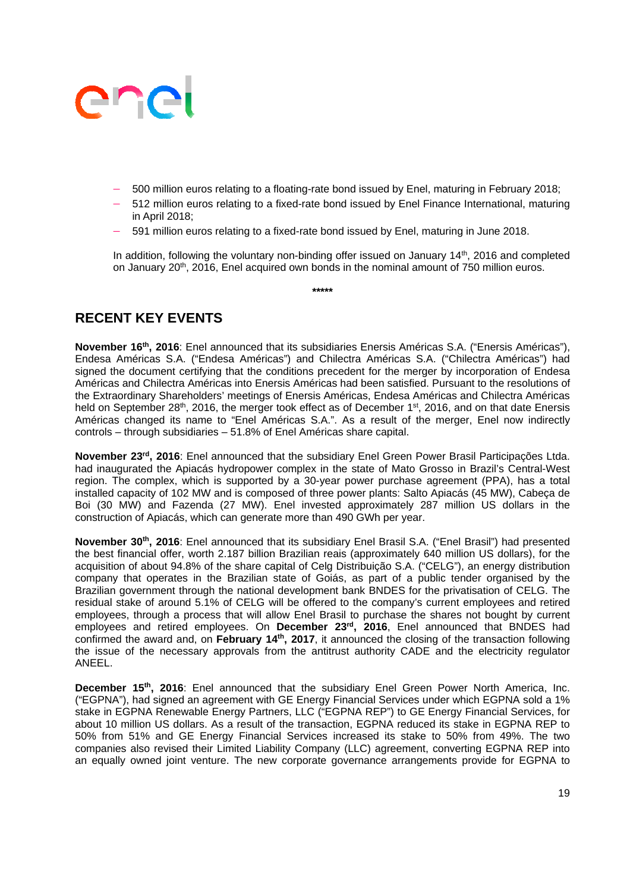- 500 million euros relating to a floating-rate bond issued by Enel, maturing in February 2018;
- 512 million euros relating to a fixed-rate bond issued by Enel Finance International, maturing in April 2018;
- 591 million euros relating to a fixed-rate bond issued by Enel, maturing in June 2018.

In addition, following the voluntary non-binding offer issued on January 14<sup>th</sup>, 2016 and completed on January 20<sup>th</sup>, 2016, Enel acquired own bonds in the nominal amount of 750 million euros.

**\*\*\*\*\*** 

# **RECENT KEY EVENTS**

**November 16th, 2016**: Enel announced that its subsidiaries Enersis Américas S.A. ("Enersis Américas"), Endesa Américas S.A. ("Endesa Américas") and Chilectra Américas S.A. ("Chilectra Américas") had signed the document certifying that the conditions precedent for the merger by incorporation of Endesa Américas and Chilectra Américas into Enersis Américas had been satisfied. Pursuant to the resolutions of the Extraordinary Shareholders' meetings of Enersis Américas, Endesa Américas and Chilectra Américas held on September 28<sup>th</sup>, 2016, the merger took effect as of December 1<sup>st</sup>, 2016, and on that date Enersis Américas changed its name to "Enel Américas S.A.". As a result of the merger, Enel now indirectly controls – through subsidiaries – 51.8% of Enel Américas share capital.

**November 23rd, 2016**: Enel announced that the subsidiary Enel Green Power Brasil Participações Ltda. had inaugurated the Apiacás hydropower complex in the state of Mato Grosso in Brazil's Central-West region. The complex, which is supported by a 30-year power purchase agreement (PPA), has a total installed capacity of 102 MW and is composed of three power plants: Salto Apiacás (45 MW), Cabeça de Boi (30 MW) and Fazenda (27 MW). Enel invested approximately 287 million US dollars in the construction of Apiacás, which can generate more than 490 GWh per year.

**November 30th, 2016**: Enel announced that its subsidiary Enel Brasil S.A. ("Enel Brasil") had presented the best financial offer, worth 2.187 billion Brazilian reais (approximately 640 million US dollars), for the acquisition of about 94.8% of the share capital of Celg Distribuição S.A. ("CELG"), an energy distribution company that operates in the Brazilian state of Goiás, as part of a public tender organised by the Brazilian government through the national development bank BNDES for the privatisation of CELG. The residual stake of around 5.1% of CELG will be offered to the company's current employees and retired employees, through a process that will allow Enel Brasil to purchase the shares not bought by current employees and retired employees. On December 23<sup>rd</sup>, 2016, Enel announced that BNDES had confirmed the award and, on **February 14th, 2017**, it announced the closing of the transaction following the issue of the necessary approvals from the antitrust authority CADE and the electricity regulator ANEEL.

**December 15th, 2016**: Enel announced that the subsidiary Enel Green Power North America, Inc. ("EGPNA"), had signed an agreement with GE Energy Financial Services under which EGPNA sold a 1% stake in EGPNA Renewable Energy Partners, LLC ("EGPNA REP") to GE Energy Financial Services, for about 10 million US dollars. As a result of the transaction, EGPNA reduced its stake in EGPNA REP to 50% from 51% and GE Energy Financial Services increased its stake to 50% from 49%. The two companies also revised their Limited Liability Company (LLC) agreement, converting EGPNA REP into an equally owned joint venture. The new corporate governance arrangements provide for EGPNA to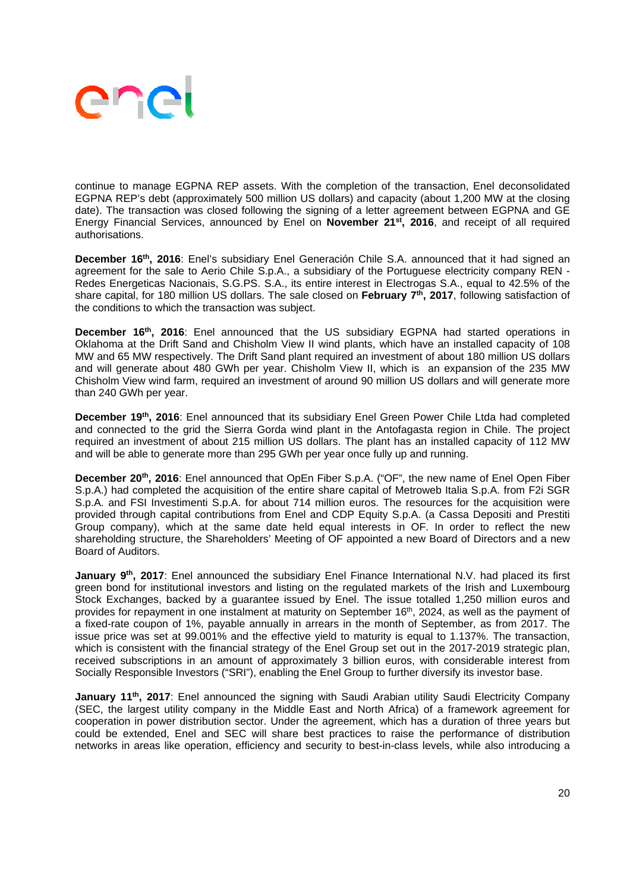

continue to manage EGPNA REP assets. With the completion of the transaction, Enel deconsolidated EGPNA REP's debt (approximately 500 million US dollars) and capacity (about 1,200 MW at the closing date). The transaction was closed following the signing of a letter agreement between EGPNA and GE Energy Financial Services, announced by Enel on **November 21st, 2016**, and receipt of all required authorisations.

**December 16th, 2016**: Enel's subsidiary Enel Generación Chile S.A. announced that it had signed an agreement for the sale to Aerio Chile S.p.A., a subsidiary of the Portuguese electricity company REN - Redes Energeticas Nacionais, S.G.PS. S.A., its entire interest in Electrogas S.A., equal to 42.5% of the share capital, for 180 million US dollars. The sale closed on **February 7th, 2017**, following satisfaction of the conditions to which the transaction was subject.

**December 16<sup>th</sup>, 2016**: Enel announced that the US subsidiary EGPNA had started operations in Oklahoma at the Drift Sand and Chisholm View II wind plants, which have an installed capacity of 108 MW and 65 MW respectively. The Drift Sand plant required an investment of about 180 million US dollars and will generate about 480 GWh per year. Chisholm View II, which is an expansion of the 235 MW Chisholm View wind farm, required an investment of around 90 million US dollars and will generate more than 240 GWh per year.

December 19<sup>th</sup>, 2016: Enel announced that its subsidiary Enel Green Power Chile Ltda had completed and connected to the grid the Sierra Gorda wind plant in the Antofagasta region in Chile. The project required an investment of about 215 million US dollars. The plant has an installed capacity of 112 MW and will be able to generate more than 295 GWh per year once fully up and running.

**December 20th, 2016**: Enel announced that OpEn Fiber S.p.A. ("OF", the new name of Enel Open Fiber S.p.A.) had completed the acquisition of the entire share capital of Metroweb Italia S.p.A. from F2i SGR S.p.A. and FSI Investimenti S.p.A. for about 714 million euros. The resources for the acquisition were provided through capital contributions from Enel and CDP Equity S.p.A. (a Cassa Depositi and Prestiti Group company), which at the same date held equal interests in OF. In order to reflect the new shareholding structure, the Shareholders' Meeting of OF appointed a new Board of Directors and a new Board of Auditors.

**January 9th, 2017**: Enel announced the subsidiary Enel Finance International N.V. had placed its first green bond for institutional investors and listing on the regulated markets of the Irish and Luxembourg Stock Exchanges, backed by a guarantee issued by Enel. The issue totalled 1,250 million euros and provides for repayment in one instalment at maturity on September 16<sup>th</sup>, 2024, as well as the payment of a fixed-rate coupon of 1%, payable annually in arrears in the month of September, as from 2017. The issue price was set at 99.001% and the effective yield to maturity is equal to 1.137%. The transaction, which is consistent with the financial strategy of the Enel Group set out in the 2017-2019 strategic plan, received subscriptions in an amount of approximately 3 billion euros, with considerable interest from Socially Responsible Investors ("SRI"), enabling the Enel Group to further diversify its investor base.

**January 11<sup>th</sup>, 2017**: Enel announced the signing with Saudi Arabian utility Saudi Electricity Company (SEC, the largest utility company in the Middle East and North Africa) of a framework agreement for cooperation in power distribution sector. Under the agreement, which has a duration of three years but could be extended, Enel and SEC will share best practices to raise the performance of distribution networks in areas like operation, efficiency and security to best-in-class levels, while also introducing a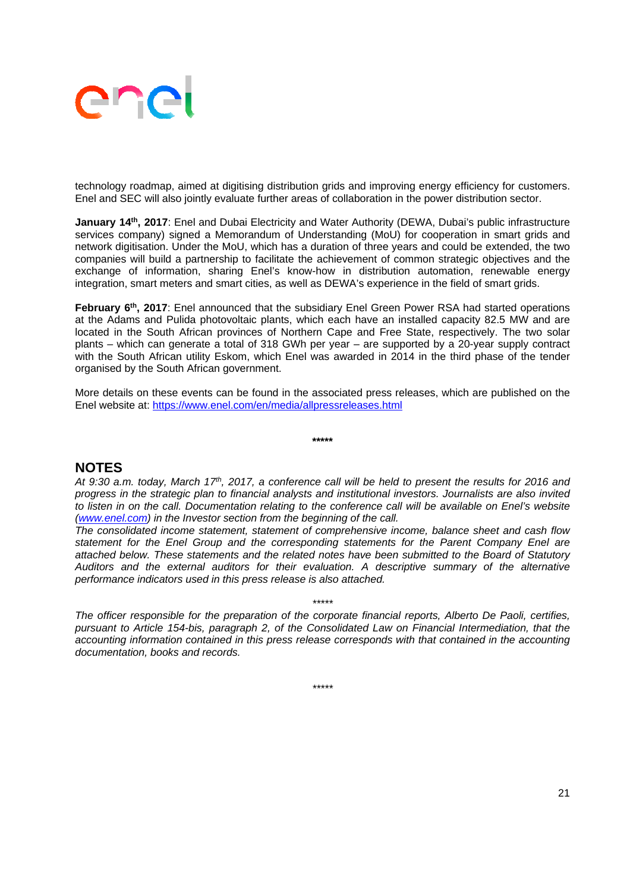

technology roadmap, aimed at digitising distribution grids and improving energy efficiency for customers. Enel and SEC will also jointly evaluate further areas of collaboration in the power distribution sector.

**January 14th, 2017**: Enel and Dubai Electricity and Water Authority (DEWA, Dubai's public infrastructure services company) signed a Memorandum of Understanding (MoU) for cooperation in smart grids and network digitisation. Under the MoU, which has a duration of three years and could be extended, the two companies will build a partnership to facilitate the achievement of common strategic objectives and the exchange of information, sharing Enel's know-how in distribution automation, renewable energy integration, smart meters and smart cities, as well as DEWA's experience in the field of smart grids.

February 6<sup>th</sup>, 2017: Enel announced that the subsidiary Enel Green Power RSA had started operations at the Adams and Pulida photovoltaic plants, which each have an installed capacity 82.5 MW and are located in the South African provinces of Northern Cape and Free State, respectively. The two solar plants – which can generate a total of 318 GWh per year – are supported by a 20-year supply contract with the South African utility Eskom, which Enel was awarded in 2014 in the third phase of the tender organised by the South African government.

More details on these events can be found in the associated press releases, which are published on the Enel website at: https://www.enel.com/en/media/allpressreleases.html

**\*\*\*\*\*** 

### **NOTES**

*At 9:30 a.m. today, March 17th, 2017, a conference call will be held to present the results for 2016 and progress in the strategic plan to financial analysts and institutional investors. Journalists are also invited to listen in on the call. Documentation relating to the conference call will be available on Enel's website (www.enel.com) in the Investor section from the beginning of the call.* 

*The consolidated income statement, statement of comprehensive income, balance sheet and cash flow statement for the Enel Group and the corresponding statements for the Parent Company Enel are attached below. These statements and the related notes have been submitted to the Board of Statutory Auditors and the external auditors for their evaluation. A descriptive summary of the alternative performance indicators used in this press release is also attached.* 

*\*\*\*\*\* The officer responsible for the preparation of the corporate financial reports, Alberto De Paoli, certifies, pursuant to Article 154-bis, paragraph 2, of the Consolidated Law on Financial Intermediation, that the accounting information contained in this press release corresponds with that contained in the accounting documentation, books and records.* 

*\*\*\*\*\**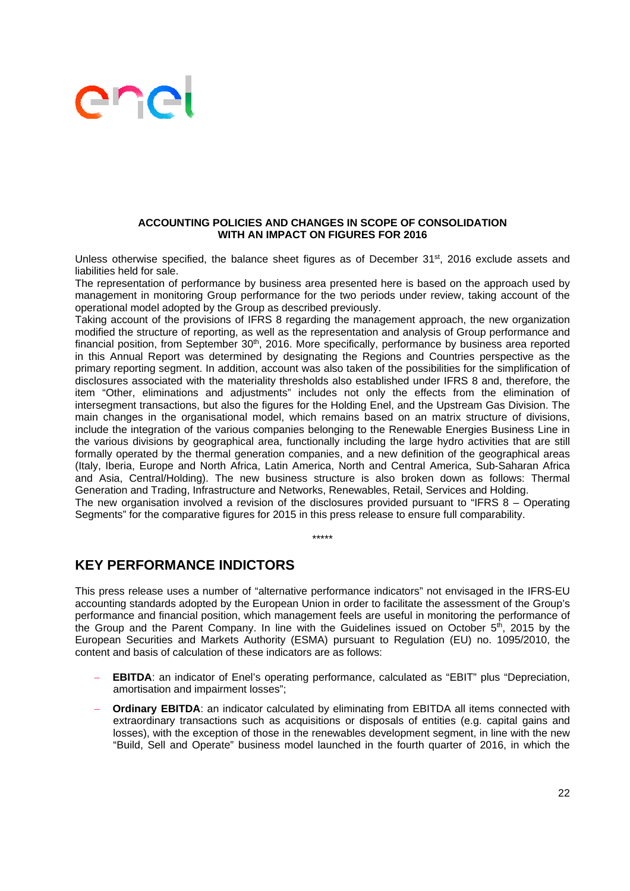#### **ACCOUNTING POLICIES AND CHANGES IN SCOPE OF CONSOLIDATION WITH AN IMPACT ON FIGURES FOR 2016**

Unless otherwise specified, the balance sheet figures as of December 31<sup>st</sup>, 2016 exclude assets and liabilities held for sale.

The representation of performance by business area presented here is based on the approach used by management in monitoring Group performance for the two periods under review, taking account of the operational model adopted by the Group as described previously.

Taking account of the provisions of IFRS 8 regarding the management approach, the new organization modified the structure of reporting, as well as the representation and analysis of Group performance and financial position, from September 30<sup>th</sup>, 2016. More specifically, performance by business area reported in this Annual Report was determined by designating the Regions and Countries perspective as the primary reporting segment. In addition, account was also taken of the possibilities for the simplification of disclosures associated with the materiality thresholds also established under IFRS 8 and, therefore, the item "Other, eliminations and adjustments" includes not only the effects from the elimination of intersegment transactions, but also the figures for the Holding Enel, and the Upstream Gas Division. The main changes in the organisational model, which remains based on an matrix structure of divisions, include the integration of the various companies belonging to the Renewable Energies Business Line in the various divisions by geographical area, functionally including the large hydro activities that are still formally operated by the thermal generation companies, and a new definition of the geographical areas (Italy, Iberia, Europe and North Africa, Latin America, North and Central America, Sub-Saharan Africa and Asia, Central/Holding). The new business structure is also broken down as follows: Thermal Generation and Trading, Infrastructure and Networks, Renewables, Retail, Services and Holding. The new organisation involved a revision of the disclosures provided pursuant to "IFRS 8 – Operating Segments" for the comparative figures for 2015 in this press release to ensure full comparability.

\*\*\*\*\*

## **KEY PERFORMANCE INDICTORS**

This press release uses a number of "alternative performance indicators" not envisaged in the IFRS-EU accounting standards adopted by the European Union in order to facilitate the assessment of the Group's performance and financial position, which management feels are useful in monitoring the performance of the Group and the Parent Company. In line with the Guidelines issued on October 5<sup>th</sup>, 2015 by the European Securities and Markets Authority (ESMA) pursuant to Regulation (EU) no. 1095/2010, the content and basis of calculation of these indicators are as follows:

- **EBITDA**: an indicator of Enel's operating performance, calculated as "EBIT" plus "Depreciation, amortisation and impairment losses";
- **Ordinary EBITDA:** an indicator calculated by eliminating from EBITDA all items connected with extraordinary transactions such as acquisitions or disposals of entities (e.g. capital gains and losses), with the exception of those in the renewables development segment, in line with the new "Build, Sell and Operate" business model launched in the fourth quarter of 2016, in which the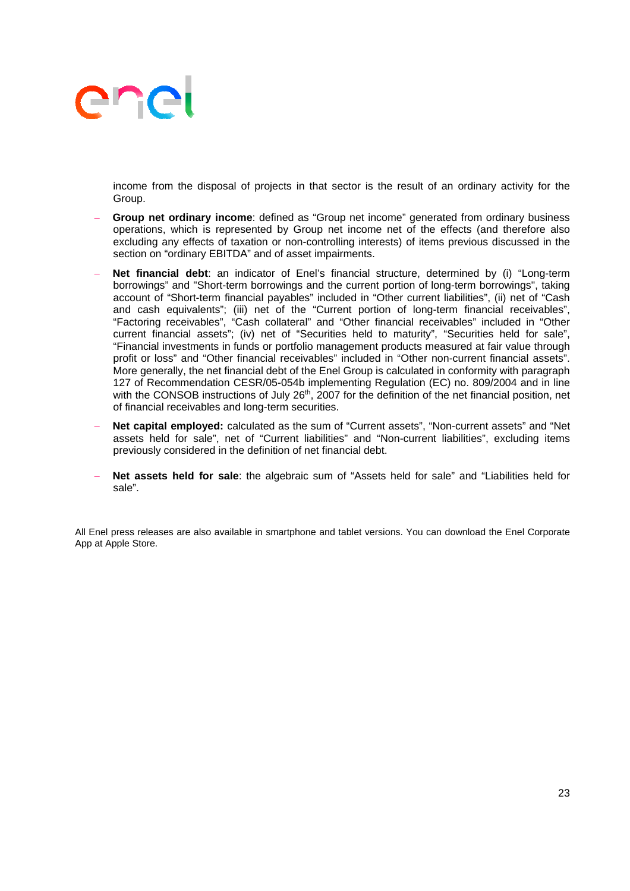income from the disposal of projects in that sector is the result of an ordinary activity for the Group.

- **Group net ordinary income**: defined as "Group net income" generated from ordinary business operations, which is represented by Group net income net of the effects (and therefore also excluding any effects of taxation or non-controlling interests) of items previous discussed in the section on "ordinary EBITDA" and of asset impairments.
- **Net financial debt**: an indicator of Enel's financial structure, determined by (i) "Long-term borrowings" and "Short-term borrowings and the current portion of long-term borrowings", taking account of "Short-term financial payables" included in "Other current liabilities", (ii) net of "Cash and cash equivalents"; (iii) net of the "Current portion of long-term financial receivables", "Factoring receivables", "Cash collateral" and "Other financial receivables" included in "Other current financial assets"; (iv) net of "Securities held to maturity", "Securities held for sale", "Financial investments in funds or portfolio management products measured at fair value through profit or loss" and "Other financial receivables" included in "Other non-current financial assets". More generally, the net financial debt of the Enel Group is calculated in conformity with paragraph 127 of Recommendation CESR/05-054b implementing Regulation (EC) no. 809/2004 and in line with the CONSOB instructions of July 26<sup>th</sup>, 2007 for the definition of the net financial position, net of financial receivables and long-term securities.
- **Net capital employed:** calculated as the sum of "Current assets", "Non-current assets" and "Net assets held for sale", net of "Current liabilities" and "Non-current liabilities", excluding items previously considered in the definition of net financial debt.
- **Net assets held for sale**: the algebraic sum of "Assets held for sale" and "Liabilities held for sale".

All Enel press releases are also available in smartphone and tablet versions. You can download the Enel Corporate App at Apple Store.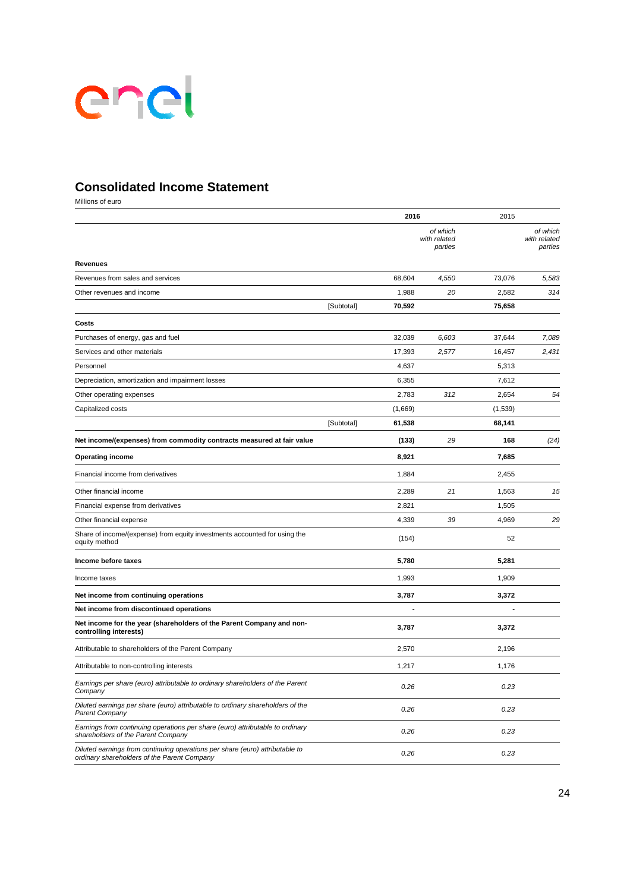

## **Consolidated Income Statement**

Millions of euro

|                                                                                                                             |            | 2016    |                                     | 2015    |                                     |
|-----------------------------------------------------------------------------------------------------------------------------|------------|---------|-------------------------------------|---------|-------------------------------------|
|                                                                                                                             |            |         | of which<br>with related<br>parties |         | of which<br>with related<br>parties |
| <b>Revenues</b>                                                                                                             |            |         |                                     |         |                                     |
| Revenues from sales and services                                                                                            |            | 68,604  | 4,550                               | 73,076  | 5,583                               |
| Other revenues and income                                                                                                   |            | 1,988   | 20                                  | 2,582   | 314                                 |
|                                                                                                                             | [Subtotal] | 70,592  |                                     | 75,658  |                                     |
| Costs                                                                                                                       |            |         |                                     |         |                                     |
| Purchases of energy, gas and fuel                                                                                           |            | 32,039  | 6,603                               | 37,644  | 7,089                               |
| Services and other materials                                                                                                |            | 17,393  | 2,577                               | 16,457  | 2,431                               |
| Personnel                                                                                                                   |            | 4,637   |                                     | 5,313   |                                     |
| Depreciation, amortization and impairment losses                                                                            |            | 6,355   |                                     | 7,612   |                                     |
| Other operating expenses                                                                                                    |            | 2,783   | 312                                 | 2,654   | 54                                  |
| Capitalized costs                                                                                                           |            | (1,669) |                                     | (1,539) |                                     |
|                                                                                                                             | [Subtotal] | 61,538  |                                     | 68,141  |                                     |
| Net income/(expenses) from commodity contracts measured at fair value                                                       |            | (133)   | 29                                  | 168     | (24)                                |
| <b>Operating income</b>                                                                                                     |            | 8,921   |                                     | 7,685   |                                     |
| Financial income from derivatives                                                                                           |            | 1,884   |                                     | 2,455   |                                     |
| Other financial income                                                                                                      |            | 2,289   | 21                                  | 1,563   | 15                                  |
| Financial expense from derivatives                                                                                          |            | 2,821   |                                     | 1,505   |                                     |
| Other financial expense                                                                                                     |            | 4,339   | 39                                  | 4,969   | 29                                  |
| Share of income/(expense) from equity investments accounted for using the<br>equity method                                  |            | (154)   |                                     | 52      |                                     |
| Income before taxes                                                                                                         |            | 5,780   |                                     | 5,281   |                                     |
| Income taxes                                                                                                                |            | 1,993   |                                     | 1,909   |                                     |
| Net income from continuing operations                                                                                       |            | 3,787   |                                     | 3,372   |                                     |
| Net income from discontinued operations                                                                                     |            |         |                                     |         |                                     |
| Net income for the year (shareholders of the Parent Company and non-<br>controlling interests)                              |            | 3,787   |                                     | 3,372   |                                     |
| Attributable to shareholders of the Parent Company                                                                          |            | 2,570   |                                     | 2,196   |                                     |
| Attributable to non-controlling interests                                                                                   |            | 1,217   |                                     | 1,176   |                                     |
| Earnings per share (euro) attributable to ordinary shareholders of the Parent<br>Company                                    |            | 0.26    |                                     | 0.23    |                                     |
| Diluted earnings per share (euro) attributable to ordinary shareholders of the<br><b>Parent Company</b>                     |            | 0.26    |                                     | 0.23    |                                     |
| Earnings from continuing operations per share (euro) attributable to ordinary<br>shareholders of the Parent Company         |            | 0.26    |                                     | 0.23    |                                     |
| Diluted earnings from continuing operations per share (euro) attributable to<br>ordinary shareholders of the Parent Company |            | 0.26    |                                     | 0.23    |                                     |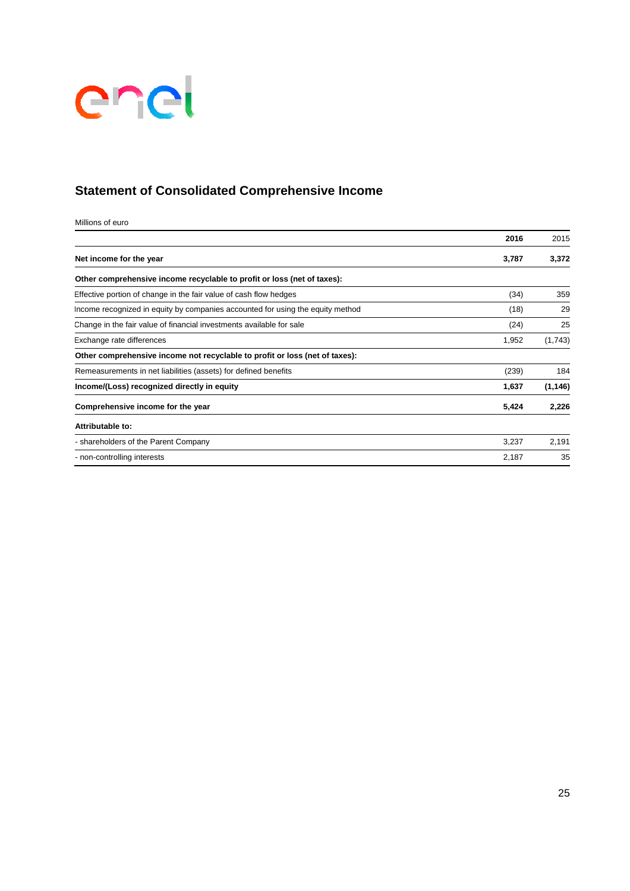

# **Statement of Consolidated Comprehensive Income**

Millions of euro

|                                                                                | 2016  | 2015     |
|--------------------------------------------------------------------------------|-------|----------|
| Net income for the year                                                        | 3,787 | 3,372    |
| Other comprehensive income recyclable to profit or loss (net of taxes):        |       |          |
| Effective portion of change in the fair value of cash flow hedges              | (34)  | 359      |
| Income recognized in equity by companies accounted for using the equity method | (18)  | 29       |
| Change in the fair value of financial investments available for sale           | (24)  | 25       |
| Exchange rate differences                                                      | 1,952 | (1,743)  |
| Other comprehensive income not recyclable to profit or loss (net of taxes):    |       |          |
| Remeasurements in net liabilities (assets) for defined benefits                | (239) | 184      |
| Income/(Loss) recognized directly in equity                                    | 1,637 | (1, 146) |
| Comprehensive income for the year                                              | 5,424 | 2,226    |
| Attributable to:                                                               |       |          |
| - shareholders of the Parent Company                                           | 3,237 | 2,191    |
| - non-controlling interests                                                    | 2,187 | 35       |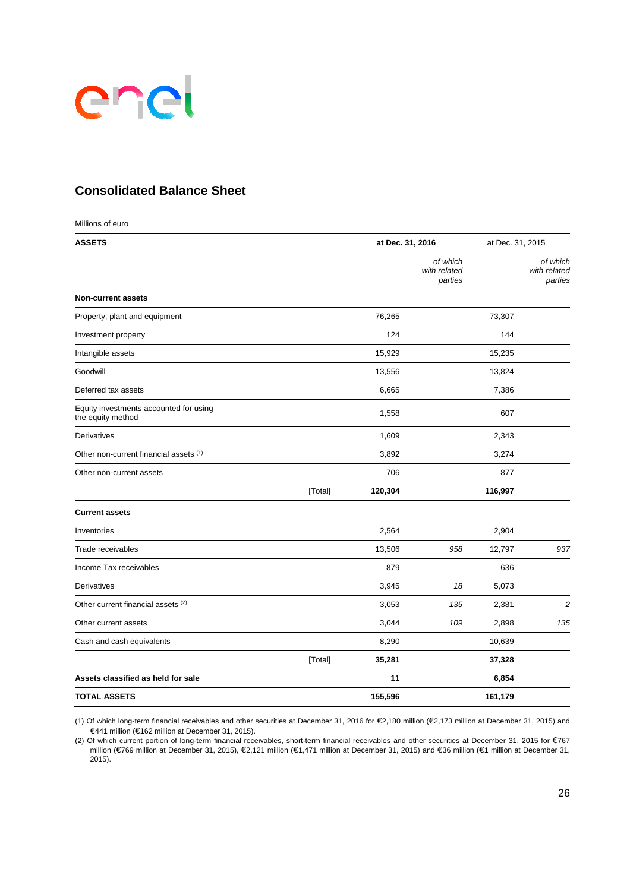

### **Consolidated Balance Sheet**

| Millions of euro                                            |         |                  |                                     |                  |                                     |
|-------------------------------------------------------------|---------|------------------|-------------------------------------|------------------|-------------------------------------|
| <b>ASSETS</b>                                               |         | at Dec. 31, 2016 |                                     | at Dec. 31, 2015 |                                     |
|                                                             |         |                  | of which<br>with related<br>parties |                  | of which<br>with related<br>parties |
| <b>Non-current assets</b>                                   |         |                  |                                     |                  |                                     |
| Property, plant and equipment                               |         | 76,265           |                                     | 73,307           |                                     |
| Investment property                                         |         | 124              |                                     | 144              |                                     |
| Intangible assets                                           |         | 15,929           |                                     | 15,235           |                                     |
| Goodwill                                                    |         | 13,556           |                                     | 13,824           |                                     |
| Deferred tax assets                                         |         | 6,665            |                                     | 7,386            |                                     |
| Equity investments accounted for using<br>the equity method |         | 1,558            |                                     | 607              |                                     |
| Derivatives                                                 |         | 1,609            |                                     | 2,343            |                                     |
| Other non-current financial assets (1)                      |         | 3,892            |                                     | 3,274            |                                     |
| Other non-current assets                                    |         | 706              |                                     | 877              |                                     |
|                                                             | [Total] | 120,304          |                                     | 116,997          |                                     |
| <b>Current assets</b>                                       |         |                  |                                     |                  |                                     |
| Inventories                                                 |         | 2,564            |                                     | 2,904            |                                     |
| Trade receivables                                           |         | 13,506           | 958                                 | 12,797           | 937                                 |
| Income Tax receivables                                      |         | 879              |                                     | 636              |                                     |
| Derivatives                                                 |         | 3,945            | 18                                  | 5,073            |                                     |
| Other current financial assets (2)                          |         | 3,053            | 135                                 | 2,381            | $\overline{c}$                      |
| Other current assets                                        |         | 3,044            | 109                                 | 2,898            | 135                                 |
| Cash and cash equivalents                                   |         | 8,290            |                                     | 10,639           |                                     |
|                                                             | [Total] | 35,281           |                                     | 37,328           |                                     |
| Assets classified as held for sale                          |         | 11               |                                     | 6,854            |                                     |
| <b>TOTAL ASSETS</b>                                         |         | 155,596          |                                     | 161,179          |                                     |

(1) Of which long-term financial receivables and other securities at December 31, 2016 for €2,180 million (€2,173 million at December 31, 2015) and €441 million (€162 million at December 31, 2015).

(2) Of which current portion of long-term financial receivables, short-term financial receivables and other securities at December 31, 2015 for €767 million (€769 million at December 31, 2015), €2,121 million (€1,471 million at December 31, 2015) and €36 million (€1 million at December 31, 2015).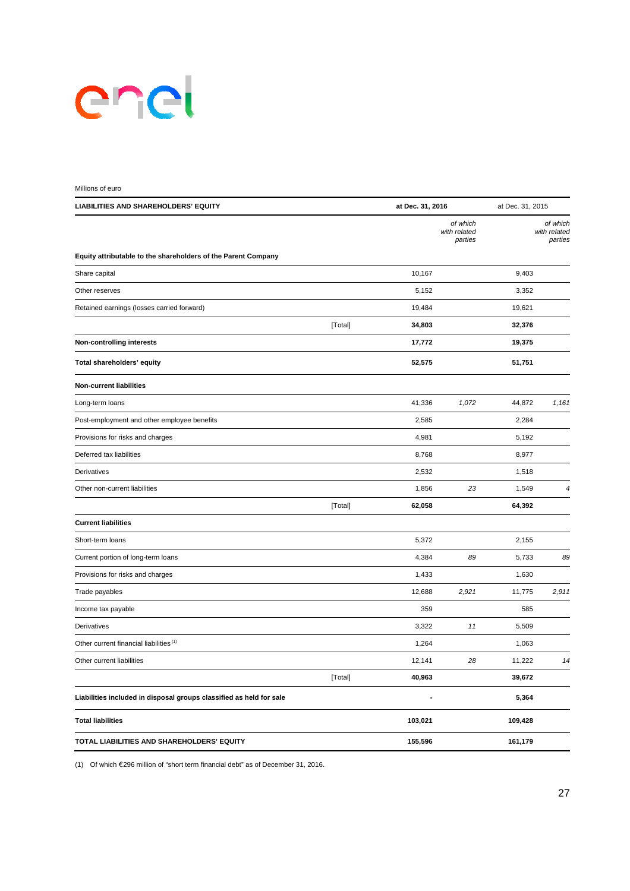# enel

| Millions of euro                                                    |         |                  |                                     |                  |                                     |
|---------------------------------------------------------------------|---------|------------------|-------------------------------------|------------------|-------------------------------------|
| <b>LIABILITIES AND SHAREHOLDERS' EQUITY</b>                         |         | at Dec. 31, 2016 |                                     | at Dec. 31, 2015 |                                     |
|                                                                     |         |                  | of which<br>with related<br>parties |                  | of which<br>with related<br>parties |
| Equity attributable to the shareholders of the Parent Company       |         |                  |                                     |                  |                                     |
| Share capital                                                       |         | 10,167           |                                     | 9,403            |                                     |
| Other reserves                                                      |         | 5,152            |                                     | 3,352            |                                     |
| Retained earnings (losses carried forward)                          |         | 19,484           |                                     | 19,621           |                                     |
|                                                                     | [Total] | 34,803           |                                     | 32,376           |                                     |
| <b>Non-controlling interests</b>                                    |         | 17,772           |                                     | 19,375           |                                     |
| Total shareholders' equity                                          |         | 52,575           |                                     | 51,751           |                                     |
| <b>Non-current liabilities</b>                                      |         |                  |                                     |                  |                                     |
| Long-term loans                                                     |         | 41,336           | 1,072                               | 44,872           | 1,161                               |
| Post-employment and other employee benefits                         |         | 2,585            |                                     | 2,284            |                                     |
| Provisions for risks and charges                                    |         | 4,981            |                                     | 5,192            |                                     |
| Deferred tax liabilities                                            |         | 8,768            |                                     | 8,977            |                                     |
| Derivatives                                                         |         | 2,532            |                                     | 1,518            |                                     |
| Other non-current liabilities                                       |         | 1,856            | 23                                  | 1,549            | 4                                   |
|                                                                     | [Total] | 62,058           |                                     | 64,392           |                                     |
| <b>Current liabilities</b>                                          |         |                  |                                     |                  |                                     |
| Short-term loans                                                    |         | 5,372            |                                     | 2,155            |                                     |
| Current portion of long-term loans                                  |         | 4,384            | 89                                  | 5,733            | 89                                  |
| Provisions for risks and charges                                    |         | 1,433            |                                     | 1,630            |                                     |
| Trade payables                                                      |         | 12,688           | 2,921                               | 11,775           | 2,911                               |
| Income tax payable                                                  |         | 359              |                                     | 585              |                                     |
| Derivatives                                                         |         | 3,322            | 11                                  | 5,509            |                                     |
| Other current financial liabilities (1)                             |         | 1,264            |                                     | 1,063            |                                     |
| Other current liabilities                                           |         | 12,141           | ${\bf 28}$                          | 11,222           | 14                                  |
|                                                                     | [Total] | 40,963           |                                     | 39,672           |                                     |
| Liabilities included in disposal groups classified as held for sale |         |                  |                                     | 5,364            |                                     |
| <b>Total liabilities</b>                                            |         | 103,021          |                                     | 109,428          |                                     |
| TOTAL LIABILITIES AND SHAREHOLDERS' EQUITY                          |         | 155,596          |                                     | 161,179          |                                     |

(1) Of which €296 million of "short term financial debt" as of December 31, 2016.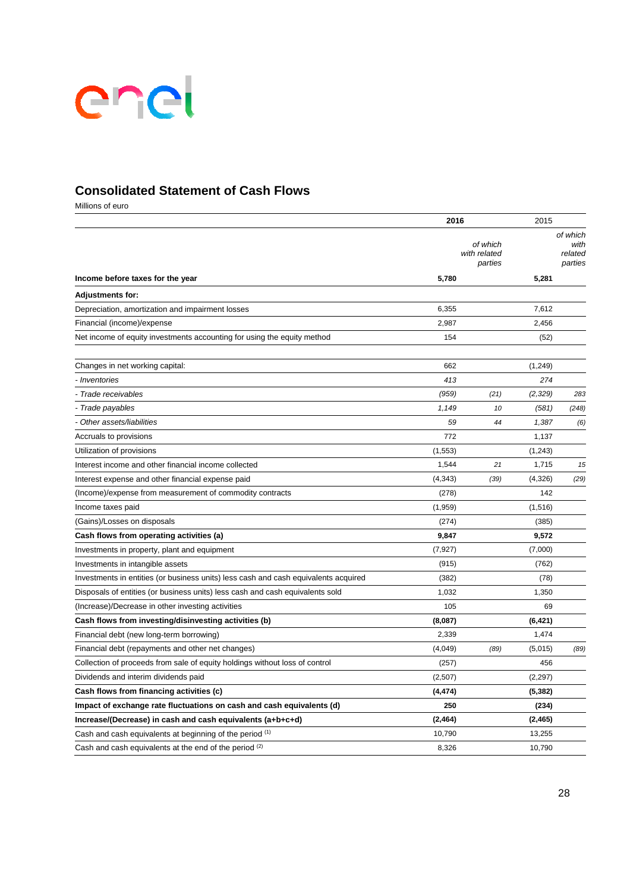

### **Consolidated Statement of Cash Flows**

Millions of euro

|                                                                                     | 2016     |                                     | 2015     |                                        |
|-------------------------------------------------------------------------------------|----------|-------------------------------------|----------|----------------------------------------|
|                                                                                     |          | of which<br>with related<br>parties |          | of which<br>with<br>related<br>parties |
| Income before taxes for the year                                                    | 5,780    |                                     | 5,281    |                                        |
| <b>Adjustments for:</b>                                                             |          |                                     |          |                                        |
| Depreciation, amortization and impairment losses                                    | 6,355    |                                     | 7,612    |                                        |
| Financial (income)/expense                                                          | 2,987    |                                     | 2,456    |                                        |
| Net income of equity investments accounting for using the equity method             | 154      |                                     | (52)     |                                        |
| Changes in net working capital:                                                     | 662      |                                     | (1, 249) |                                        |
| - Inventories                                                                       | 413      |                                     | 274      |                                        |
| Trade receivables                                                                   | (959)    | (21)                                | (2, 329) | 283                                    |
| - Trade payables                                                                    | 1,149    | 10                                  | (581)    | (248)                                  |
| Other assets/liabilities                                                            | 59       | 44                                  | 1,387    | (6)                                    |
| Accruals to provisions                                                              | 772      |                                     | 1,137    |                                        |
| Utilization of provisions                                                           | (1, 553) |                                     | (1, 243) |                                        |
| Interest income and other financial income collected                                | 1,544    | 21                                  | 1,715    | 15                                     |
| Interest expense and other financial expense paid                                   | (4,343)  | (39)                                | (4,326)  | (29)                                   |
| (Income)/expense from measurement of commodity contracts                            | (278)    |                                     | 142      |                                        |
| Income taxes paid                                                                   | (1,959)  |                                     | (1, 516) |                                        |
| (Gains)/Losses on disposals                                                         | (274)    |                                     | (385)    |                                        |
| Cash flows from operating activities (a)                                            | 9,847    |                                     | 9,572    |                                        |
| Investments in property, plant and equipment                                        | (7, 927) |                                     | (7,000)  |                                        |
| Investments in intangible assets                                                    | (915)    |                                     | (762)    |                                        |
| Investments in entities (or business units) less cash and cash equivalents acquired | (382)    |                                     | (78)     |                                        |
| Disposals of entities (or business units) less cash and cash equivalents sold       | 1,032    |                                     | 1,350    |                                        |
| (Increase)/Decrease in other investing activities                                   | 105      |                                     | 69       |                                        |
| Cash flows from investing/disinvesting activities (b)                               | (8,087)  |                                     | (6, 421) |                                        |
| Financial debt (new long-term borrowing)                                            | 2,339    |                                     | 1,474    |                                        |
| Financial debt (repayments and other net changes)                                   | (4,049)  | (89)                                | (5,015)  | (89)                                   |
| Collection of proceeds from sale of equity holdings without loss of control         | (257)    |                                     | 456      |                                        |
| Dividends and interim dividends paid                                                | (2,507)  |                                     | (2, 297) |                                        |
| Cash flows from financing activities (c)                                            | (4, 474) |                                     | (5, 382) |                                        |
| Impact of exchange rate fluctuations on cash and cash equivalents (d)               | 250      |                                     | (234)    |                                        |
| Increase/(Decrease) in cash and cash equivalents (a+b+c+d)                          | (2, 464) |                                     | (2, 465) |                                        |
| Cash and cash equivalents at beginning of the period (1)                            | 10,790   |                                     | 13,255   |                                        |
| Cash and cash equivalents at the end of the period (2)                              | 8,326    |                                     | 10,790   |                                        |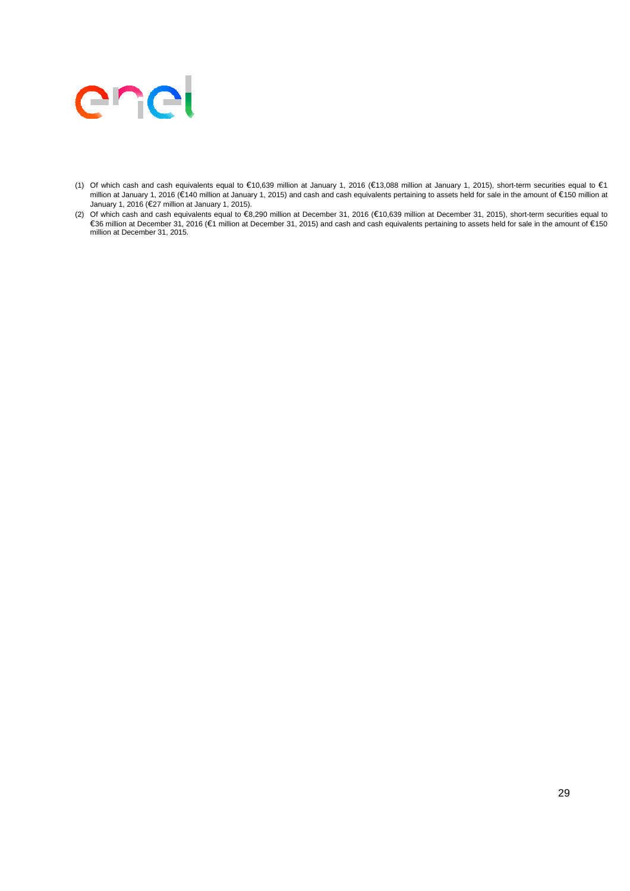

- (1) Of which cash and cash equivalents equal to €10,639 million at January 1, 2016 (€13,088 million at January 1, 2015), short-term securities equal to €1 million at January 1, 2016 (€140 million at January 1, 2015) and cash and cash equivalents pertaining to assets held for sale in the amount of €150 million at January 1, 2016 (€27 million at January 1, 2015).
- (2) Of which cash and cash equivalents equal to €8,290 million at December 31, 2016 (€10,639 million at December 31, 2015), short-term securities equal to €36 million at December 31, 2016 (€1 million at December 31, 2015) and cash and cash equivalents pertaining to assets held for sale in the amount of €150 million at December 31, 2015.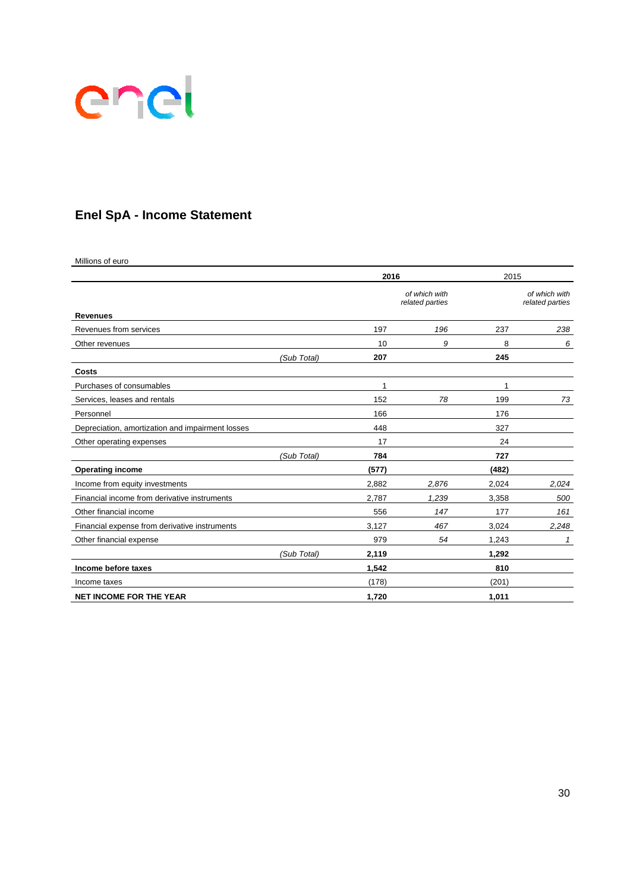

# **Enel SpA - Income Statement**

Millions of euro

|                                                  |             | 2016  |                                  | 2015  |                                  |
|--------------------------------------------------|-------------|-------|----------------------------------|-------|----------------------------------|
|                                                  |             |       | of which with<br>related parties |       | of which with<br>related parties |
| <b>Revenues</b>                                  |             |       |                                  |       |                                  |
| Revenues from services                           |             | 197   | 196                              | 237   | 238                              |
| Other revenues                                   |             | 10    | 9                                | 8     | 6                                |
|                                                  | (Sub Total) | 207   |                                  | 245   |                                  |
| Costs                                            |             |       |                                  |       |                                  |
| Purchases of consumables                         |             | 1     |                                  | 1     |                                  |
| Services, leases and rentals                     |             | 152   | 78                               | 199   | 73                               |
| Personnel                                        |             | 166   |                                  | 176   |                                  |
| Depreciation, amortization and impairment losses |             | 448   |                                  | 327   |                                  |
| Other operating expenses                         |             | 17    |                                  | 24    |                                  |
|                                                  | (Sub Total) | 784   |                                  | 727   |                                  |
| <b>Operating income</b>                          |             | (577) |                                  | (482) |                                  |
| Income from equity investments                   |             | 2,882 | 2,876                            | 2,024 | 2,024                            |
| Financial income from derivative instruments     |             | 2,787 | 1,239                            | 3,358 | 500                              |
| Other financial income                           |             | 556   | 147                              | 177   | 161                              |
| Financial expense from derivative instruments    |             | 3,127 | 467                              | 3,024 | 2,248                            |
| Other financial expense                          |             | 979   | 54                               | 1,243 | 1                                |
|                                                  | (Sub Total) | 2,119 |                                  | 1.292 |                                  |
| Income before taxes                              |             | 1,542 |                                  | 810   |                                  |
| Income taxes                                     |             | (178) |                                  | (201) |                                  |
| <b>NET INCOME FOR THE YEAR</b>                   |             | 1,720 |                                  | 1,011 |                                  |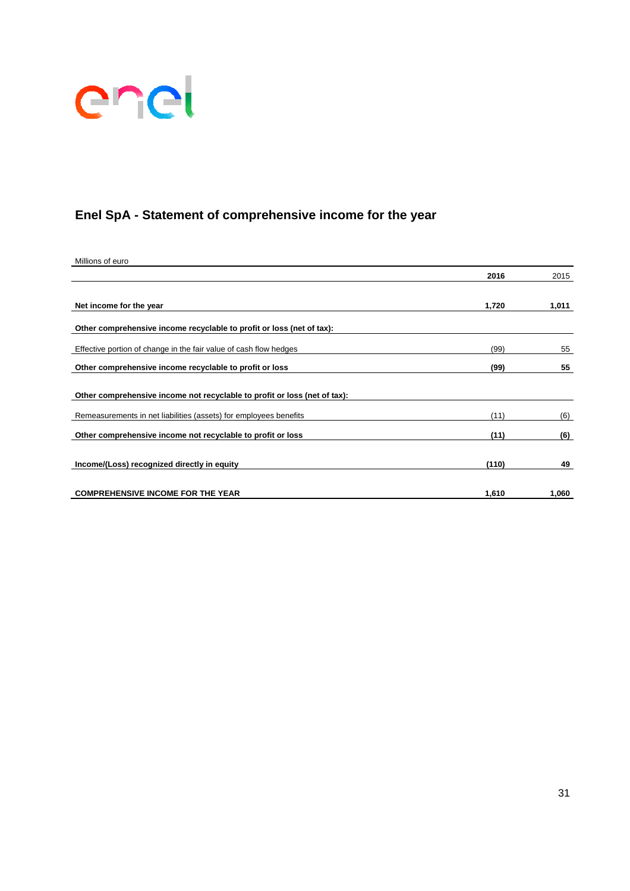

# **Enel SpA - Statement of comprehensive income for the year**

| Millions of euro                                                          |       |       |
|---------------------------------------------------------------------------|-------|-------|
|                                                                           | 2016  | 2015  |
|                                                                           |       |       |
| Net income for the year                                                   | 1,720 | 1,011 |
| Other comprehensive income recyclable to profit or loss (net of tax):     |       |       |
| Effective portion of change in the fair value of cash flow hedges         | (99)  | 55    |
| Other comprehensive income recyclable to profit or loss                   | (99)  | 55    |
| Other comprehensive income not recyclable to profit or loss (net of tax): |       |       |
| Remeasurements in net liabilities (assets) for employees benefits         | (11)  | (6)   |
| Other comprehensive income not recyclable to profit or loss               | (11)  | (6)   |
| Income/(Loss) recognized directly in equity                               | (110) | 49    |
| <b>COMPREHENSIVE INCOME FOR THE YEAR</b>                                  | 1,610 | 1,060 |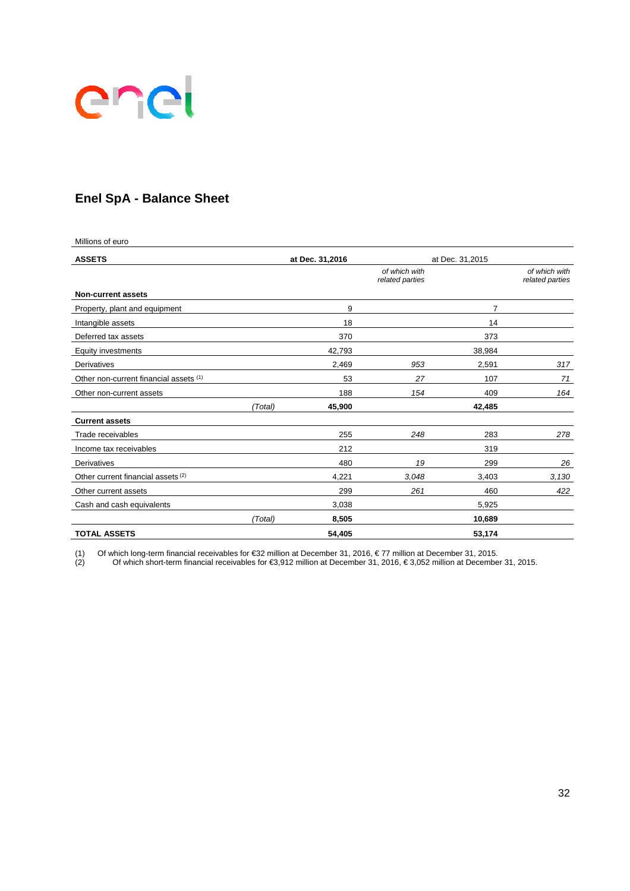

# **Enel SpA - Balance Sheet**

| Millions of euro                       |         |                 |                                  |                 |                                  |  |
|----------------------------------------|---------|-----------------|----------------------------------|-----------------|----------------------------------|--|
| <b>ASSETS</b>                          |         | at Dec. 31,2016 |                                  | at Dec. 31,2015 |                                  |  |
|                                        |         |                 | of which with<br>related parties |                 | of which with<br>related parties |  |
| <b>Non-current assets</b>              |         |                 |                                  |                 |                                  |  |
| Property, plant and equipment          |         | 9               |                                  | 7               |                                  |  |
| Intangible assets                      |         | 18              |                                  | 14              |                                  |  |
| Deferred tax assets                    |         | 370             |                                  | 373             |                                  |  |
| <b>Equity investments</b>              |         | 42,793          |                                  | 38,984          |                                  |  |
| Derivatives                            |         | 2,469           | 953                              | 2,591           | 317                              |  |
| Other non-current financial assets (1) |         | 53              | 27                               | 107             | 71                               |  |
| Other non-current assets               |         | 188             | 154                              | 409             | 164                              |  |
|                                        | (Total) | 45,900          |                                  | 42,485          |                                  |  |
| <b>Current assets</b>                  |         |                 |                                  |                 |                                  |  |
| Trade receivables                      |         | 255             | 248                              | 283             | 278                              |  |
| Income tax receivables                 |         | 212             |                                  | 319             |                                  |  |
| Derivatives                            |         | 480             | 19                               | 299             | 26                               |  |
| Other current financial assets (2)     |         | 4,221           | 3,048                            | 3,403           | 3,130                            |  |
| Other current assets                   |         | 299             | 261                              | 460             | 422                              |  |
| Cash and cash equivalents              |         | 3,038           |                                  | 5,925           |                                  |  |
|                                        | (Total) | 8,505           |                                  | 10,689          |                                  |  |
| <b>TOTAL ASSETS</b>                    |         | 54,405          |                                  | 53,174          |                                  |  |

(1) Of which long-term financial receivables for €32 million at December 31, 2016, € 77 million at December 31, 2015.

(2) Of which short-term financial receivables for €3,912 million at December 31, 2016, € 3,052 million at December 31, 2015.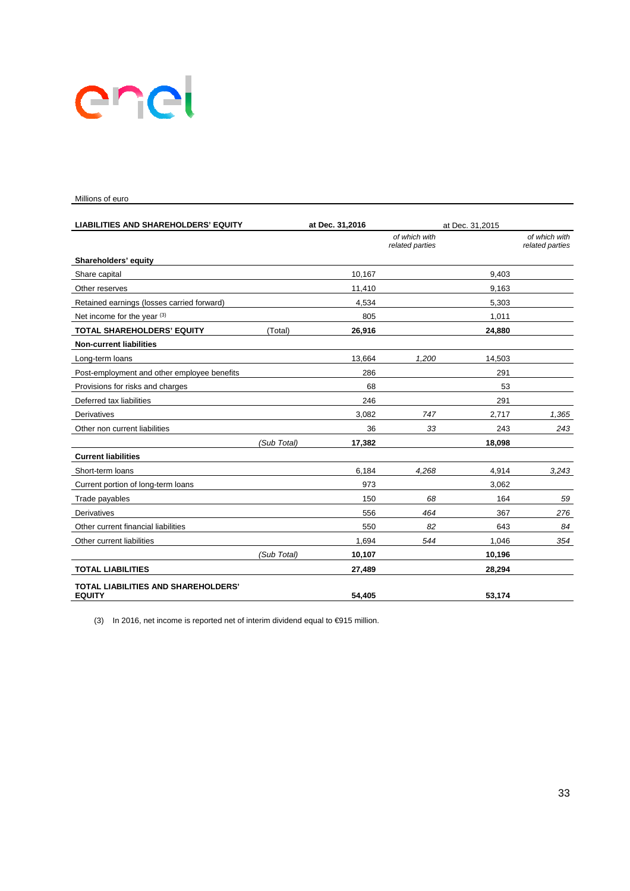# enel

#### Millions of euro

| <b>LIABILITIES AND SHAREHOLDERS' EQUITY</b>                 |             | at Dec. 31,2016 | at Dec. 31,2015                  |        |                                  |
|-------------------------------------------------------------|-------------|-----------------|----------------------------------|--------|----------------------------------|
|                                                             |             |                 | of which with<br>related parties |        | of which with<br>related parties |
| Shareholders' equity                                        |             |                 |                                  |        |                                  |
| Share capital                                               |             | 10,167          |                                  | 9,403  |                                  |
| Other reserves                                              |             | 11,410          |                                  | 9,163  |                                  |
| Retained earnings (losses carried forward)                  |             | 4,534           |                                  | 5,303  |                                  |
| Net income for the year (3)                                 |             | 805             |                                  | 1,011  |                                  |
| <b>TOTAL SHAREHOLDERS' EQUITY</b>                           | (Total)     | 26,916          |                                  | 24,880 |                                  |
| <b>Non-current liabilities</b>                              |             |                 |                                  |        |                                  |
| Long-term loans                                             |             | 13,664          | 1,200                            | 14,503 |                                  |
| Post-employment and other employee benefits                 |             | 286             |                                  | 291    |                                  |
| Provisions for risks and charges                            |             | 68              |                                  | 53     |                                  |
| Deferred tax liabilities                                    |             | 246             |                                  | 291    |                                  |
| Derivatives                                                 |             | 3,082           | 747                              | 2,717  | 1,365                            |
| Other non current liabilities                               |             | 36              | 33                               | 243    | 243                              |
|                                                             | (Sub Total) | 17,382          |                                  | 18,098 |                                  |
| <b>Current liabilities</b>                                  |             |                 |                                  |        |                                  |
| Short-term loans                                            |             | 6,184           | 4,268                            | 4,914  | 3,243                            |
| Current portion of long-term loans                          |             | 973             |                                  | 3,062  |                                  |
| Trade payables                                              |             | 150             | 68                               | 164    | 59                               |
| <b>Derivatives</b>                                          |             | 556             | 464                              | 367    | 276                              |
| Other current financial liabilities                         |             | 550             | 82                               | 643    | 84                               |
| Other current liabilities                                   |             | 1,694           | 544                              | 1,046  | 354                              |
|                                                             | (Sub Total) | 10,107          |                                  | 10,196 |                                  |
| <b>TOTAL LIABILITIES</b>                                    |             | 27,489          |                                  | 28,294 |                                  |
| <b>TOTAL LIABILITIES AND SHAREHOLDERS'</b><br><b>EQUITY</b> |             | 54.405          |                                  | 53,174 |                                  |

(3) In 2016, net income is reported net of interim dividend equal to €915 million.